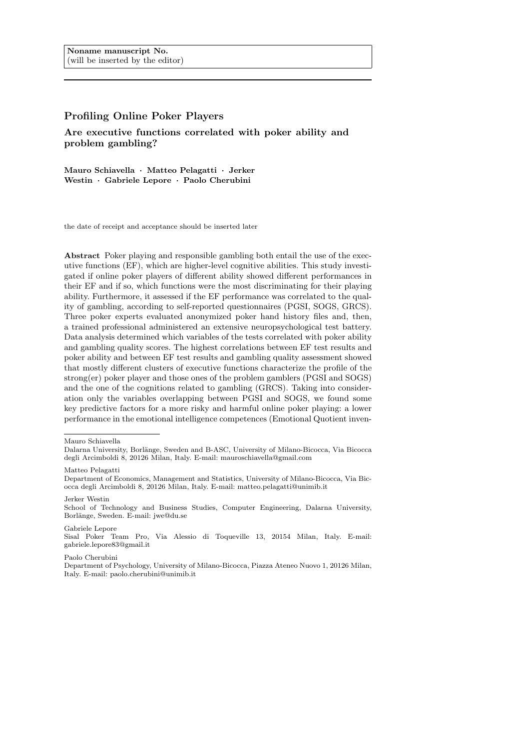# Profiling Online Poker Players

Are executive functions correlated with poker ability and problem gambling?

Mauro Schiavella · Matteo Pelagatti · Jerker Westin · Gabriele Lepore · Paolo Cherubini

the date of receipt and acceptance should be inserted later

Abstract Poker playing and responsible gambling both entail the use of the executive functions (EF), which are higher-level cognitive abilities. This study investigated if online poker players of different ability showed different performances in their EF and if so, which functions were the most discriminating for their playing ability. Furthermore, it assessed if the EF performance was correlated to the quality of gambling, according to self-reported questionnaires (PGSI, SOGS, GRCS). Three poker experts evaluated anonymized poker hand history files and, then, a trained professional administered an extensive neuropsychological test battery. Data analysis determined which variables of the tests correlated with poker ability and gambling quality scores. The highest correlations between EF test results and poker ability and between EF test results and gambling quality assessment showed that mostly different clusters of executive functions characterize the profile of the strong(er) poker player and those ones of the problem gamblers (PGSI and SOGS) and the one of the cognitions related to gambling (GRCS). Taking into consideration only the variables overlapping between PGSI and SOGS, we found some key predictive factors for a more risky and harmful online poker playing: a lower performance in the emotional intelligence competences (Emotional Quotient inven-

Mauro Schiavella

Jerker Westin

Gabriele Lepore

Paolo Cherubini

Department of Psychology, University of Milano-Bicocca, Piazza Ateneo Nuovo 1, 20126 Milan, Italy. E-mail: paolo.cherubini@unimib.it

Dalarna University, Borlänge, Sweden and B-ASC, University of Milano-Bicocca, Via Bicocca degli Arcimboldi 8, 20126 Milan, Italy. E-mail: mauroschiavella@gmail.com

Matteo Pelagatti

Department of Economics, Management and Statistics, University of Milano-Bicocca, Via Bicocca degli Arcimboldi 8, 20126 Milan, Italy. E-mail: matteo.pelagatti@unimib.it

School of Technology and Business Studies, Computer Engineering, Dalarna University, Borlänge, Sweden. E-mail: jwe@du.se

Sisal Poker Team Pro, Via Alessio di Toqueville 13, 20154 Milan, Italy. E-mail: gabriele.lepore83@gmail.it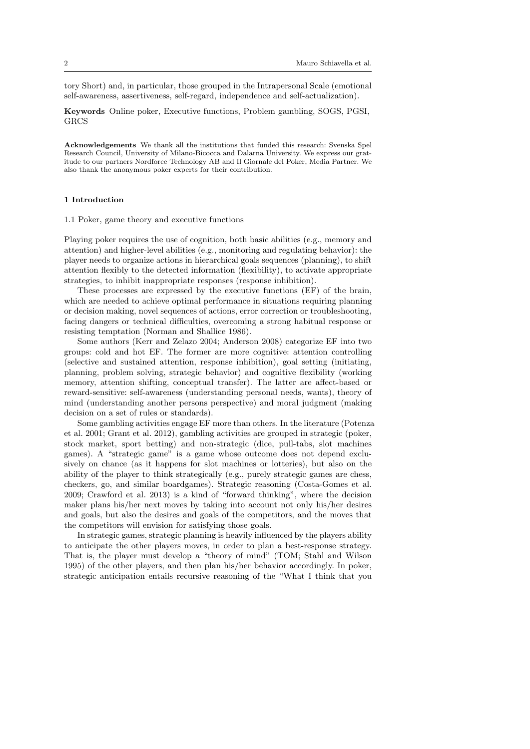tory Short) and, in particular, those grouped in the Intrapersonal Scale (emotional self-awareness, assertiveness, self-regard, independence and self-actualization).

Keywords Online poker, Executive functions, Problem gambling, SOGS, PGSI, GRCS

Acknowledgements We thank all the institutions that funded this research: Svenska Spel Research Council, University of Milano-Bicocca and Dalarna University. We express our gratitude to our partners Nordforce Technology AB and Il Giornale del Poker, Media Partner. We also thank the anonymous poker experts for their contribution.

# 1 Introduction

1.1 Poker, game theory and executive functions

Playing poker requires the use of cognition, both basic abilities (e.g., memory and attention) and higher-level abilities (e.g., monitoring and regulating behavior): the player needs to organize actions in hierarchical goals sequences (planning), to shift attention flexibly to the detected information (flexibility), to activate appropriate strategies, to inhibit inappropriate responses (response inhibition).

These processes are expressed by the executive functions (EF) of the brain, which are needed to achieve optimal performance in situations requiring planning or decision making, novel sequences of actions, error correction or troubleshooting, facing dangers or technical difficulties, overcoming a strong habitual response or resisting temptation (Norman and Shallice 1986).

Some authors (Kerr and Zelazo 2004; Anderson 2008) categorize EF into two groups: cold and hot EF. The former are more cognitive: attention controlling (selective and sustained attention, response inhibition), goal setting (initiating, planning, problem solving, strategic behavior) and cognitive flexibility (working memory, attention shifting, conceptual transfer). The latter are affect-based or reward-sensitive: self-awareness (understanding personal needs, wants), theory of mind (understanding another persons perspective) and moral judgment (making decision on a set of rules or standards).

Some gambling activities engage EF more than others. In the literature (Potenza et al. 2001; Grant et al. 2012), gambling activities are grouped in strategic (poker, stock market, sport betting) and non-strategic (dice, pull-tabs, slot machines games). A "strategic game" is a game whose outcome does not depend exclusively on chance (as it happens for slot machines or lotteries), but also on the ability of the player to think strategically (e.g., purely strategic games are chess, checkers, go, and similar boardgames). Strategic reasoning (Costa-Gomes et al. 2009; Crawford et al. 2013) is a kind of "forward thinking", where the decision maker plans his/her next moves by taking into account not only his/her desires and goals, but also the desires and goals of the competitors, and the moves that the competitors will envision for satisfying those goals.

In strategic games, strategic planning is heavily influenced by the players ability to anticipate the other players moves, in order to plan a best-response strategy. That is, the player must develop a "theory of mind" (TOM; Stahl and Wilson 1995) of the other players, and then plan his/her behavior accordingly. In poker, strategic anticipation entails recursive reasoning of the "What I think that you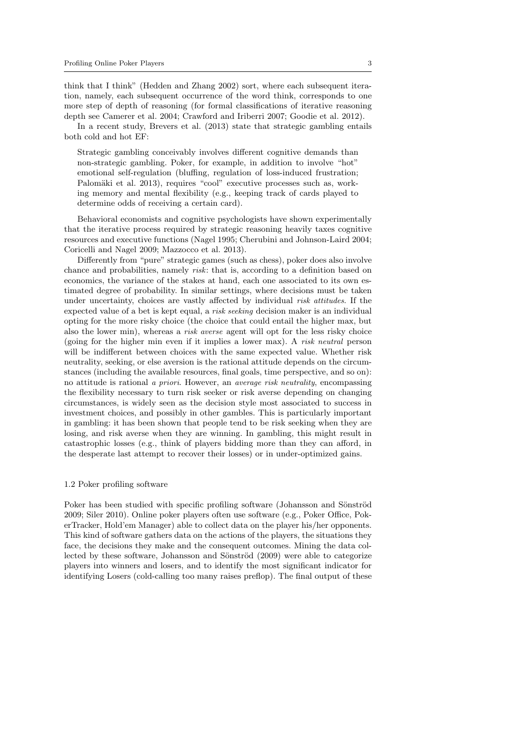think that I think" (Hedden and Zhang 2002) sort, where each subsequent iteration, namely, each subsequent occurrence of the word think, corresponds to one more step of depth of reasoning (for formal classifications of iterative reasoning depth see Camerer et al. 2004; Crawford and Iriberri 2007; Goodie et al. 2012).

In a recent study, Brevers et al. (2013) state that strategic gambling entails both cold and hot EF:

Strategic gambling conceivably involves different cognitive demands than non-strategic gambling. Poker, for example, in addition to involve "hot" emotional self-regulation (bluffing, regulation of loss-induced frustration; Palomäki et al. 2013), requires "cool" executive processes such as, working memory and mental flexibility (e.g., keeping track of cards played to determine odds of receiving a certain card).

Behavioral economists and cognitive psychologists have shown experimentally that the iterative process required by strategic reasoning heavily taxes cognitive resources and executive functions (Nagel 1995; Cherubini and Johnson-Laird 2004; Coricelli and Nagel 2009; Mazzocco et al. 2013).

Differently from "pure" strategic games (such as chess), poker does also involve chance and probabilities, namely risk: that is, according to a definition based on economics, the variance of the stakes at hand, each one associated to its own estimated degree of probability. In similar settings, where decisions must be taken under uncertainty, choices are vastly affected by individual risk attitudes. If the expected value of a bet is kept equal, a risk seeking decision maker is an individual opting for the more risky choice (the choice that could entail the higher max, but also the lower min), whereas a risk averse agent will opt for the less risky choice (going for the higher min even if it implies a lower max). A risk neutral person will be indifferent between choices with the same expected value. Whether risk neutrality, seeking, or else aversion is the rational attitude depends on the circumstances (including the available resources, final goals, time perspective, and so on): no attitude is rational a priori. However, an average risk neutrality, encompassing the flexibility necessary to turn risk seeker or risk averse depending on changing circumstances, is widely seen as the decision style most associated to success in investment choices, and possibly in other gambles. This is particularly important in gambling: it has been shown that people tend to be risk seeking when they are losing, and risk averse when they are winning. In gambling, this might result in catastrophic losses (e.g., think of players bidding more than they can afford, in the desperate last attempt to recover their losses) or in under-optimized gains.

# 1.2 Poker profiling software

Poker has been studied with specific profiling software (Johansson and Sönströd 2009; Siler 2010). Online poker players often use software (e.g., Poker Office, PokerTracker, Hold'em Manager) able to collect data on the player his/her opponents. This kind of software gathers data on the actions of the players, the situations they face, the decisions they make and the consequent outcomes. Mining the data collected by these software, Johansson and Sönströd  $(2009)$  were able to categorize players into winners and losers, and to identify the most significant indicator for identifying Losers (cold-calling too many raises preflop). The final output of these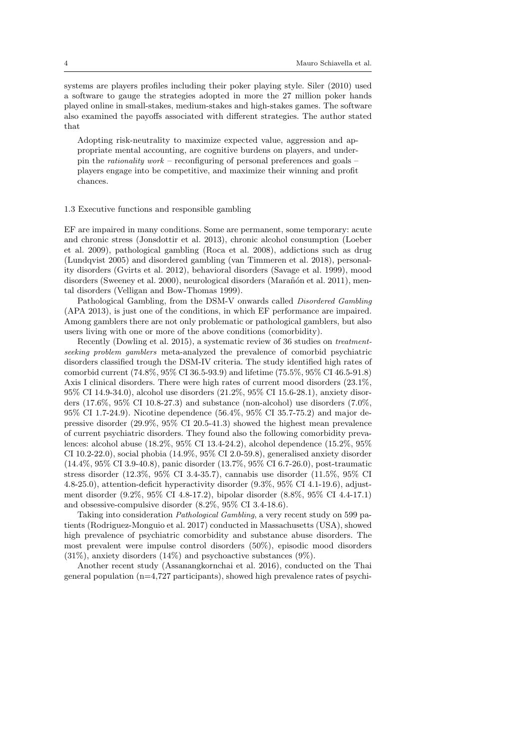systems are players profiles including their poker playing style. Siler (2010) used a software to gauge the strategies adopted in more the 27 million poker hands played online in small-stakes, medium-stakes and high-stakes games. The software also examined the payoffs associated with different strategies. The author stated that

Adopting risk-neutrality to maximize expected value, aggression and appropriate mental accounting, are cognitive burdens on players, and underpin the *rationality work* – reconfiguring of personal preferences and goals – players engage into be competitive, and maximize their winning and profit chances.

# 1.3 Executive functions and responsible gambling

EF are impaired in many conditions. Some are permanent, some temporary: acute and chronic stress (Jonsdottir et al. 2013), chronic alcohol consumption (Loeber et al. 2009), pathological gambling (Roca et al. 2008), addictions such as drug (Lundqvist 2005) and disordered gambling (van Timmeren et al. 2018), personality disorders (Gvirts et al. 2012), behavioral disorders (Savage et al. 1999), mood disorders (Sweeney et al. 2000), neurological disorders (Marañón et al. 2011), mental disorders (Velligan and Bow-Thomas 1999).

Pathological Gambling, from the DSM-V onwards called Disordered Gambling (APA 2013), is just one of the conditions, in which EF performance are impaired. Among gamblers there are not only problematic or pathological gamblers, but also users living with one or more of the above conditions (comorbidity).

Recently (Dowling et al. 2015), a systematic review of 36 studies on treatmentseeking problem gamblers meta-analyzed the prevalence of comorbid psychiatric disorders classified trough the DSM-IV criteria. The study identified high rates of comorbid current (74.8%, 95% CI 36.5-93.9) and lifetime (75.5%, 95% CI 46.5-91.8) Axis I clinical disorders. There were high rates of current mood disorders (23.1%, 95% CI 14.9-34.0), alcohol use disorders (21.2%, 95% CI 15.6-28.1), anxiety disorders (17.6%, 95% CI 10.8-27.3) and substance (non-alcohol) use disorders (7.0%, 95% CI 1.7-24.9). Nicotine dependence (56.4%, 95% CI 35.7-75.2) and major depressive disorder (29.9%, 95% CI 20.5-41.3) showed the highest mean prevalence of current psychiatric disorders. They found also the following comorbidity prevalences: alcohol abuse (18.2%, 95% CI 13.4-24.2), alcohol dependence (15.2%, 95% CI 10.2-22.0), social phobia (14.9%, 95% CI 2.0-59.8), generalised anxiety disorder (14.4%, 95% CI 3.9-40.8), panic disorder (13.7%, 95% CI 6.7-26.0), post-traumatic stress disorder (12.3%, 95% CI 3.4-35.7), cannabis use disorder (11.5%, 95% CI 4.8-25.0), attention-deficit hyperactivity disorder (9.3%, 95% CI 4.1-19.6), adjustment disorder (9.2%, 95% CI 4.8-17.2), bipolar disorder (8.8%, 95% CI 4.4-17.1) and obsessive-compulsive disorder (8.2%, 95% CI 3.4-18.6).

Taking into consideration Pathological Gambling, a very recent study on 599 patients (Rodriguez-Monguio et al. 2017) conducted in Massachusetts (USA), showed high prevalence of psychiatric comorbidity and substance abuse disorders. The most prevalent were impulse control disorders (50%), episodic mood disorders  $(31\%)$ , anxiety disorders  $(14\%)$  and psychoactive substances  $(9\%)$ .

Another recent study (Assanangkornchai et al. 2016), conducted on the Thai general population (n=4,727 participants), showed high prevalence rates of psychi-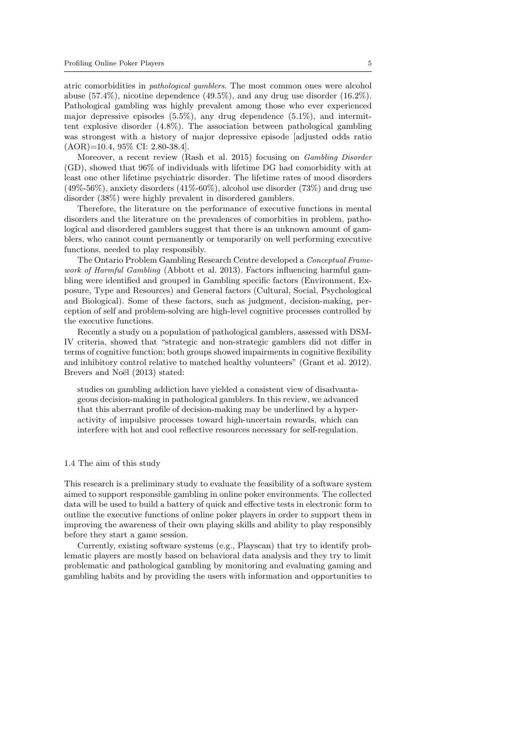atric comorbidities in pathological gamblers. The most common ones were alcohol abuse (57.4%), nicotine dependence (49.5%), and any drug use disorder (16.2%). Pathological gambling was highly prevalent among those who ever experienced major depressive episodes  $(5.5\%)$ , any drug dependence  $(5.1\%)$ , and intermittent explosive disorder (4.8%). The association between pathological gambling was strongest with a history of major depressive episode [adjusted odds ratio (AOR)=10.4, 95% CI: 2.80-38.4].

Moreover, a recent review (Rash et al. 2015) focusing on Gambling Disorder (GD), showed that 96% of individuals with lifetime DG had comorbidity with at least one other lifetime psychiatric disorder. The lifetime rates of mood disorders (49%-56%), anxiety disorders (41%-60%), alcohol use disorder (73%) and drug use disorder (38%) were highly prevalent in disordered gamblers.

Therefore, the literature on the performance of executive functions in mental disorders and the literature on the prevalences of comorbities in problem, pathological and disordered gamblers suggest that there is an unknown amount of gamblers, who cannot count permanently or temporarily on well performing executive functions, needed to play responsibly.

The Ontario Problem Gambling Research Centre developed a Conceptual Framework of Harmful Gambling (Abbott et al. 2013). Factors influencing harmful gambling were identified and grouped in Gambling specific factors (Environment, Exposure, Type and Resources) and General factors (Cultural, Social, Psychological and Biological). Some of these factors, such as judgment, decision-making, perception of self and problem-solving are high-level cognitive processes controlled by the executive functions.

Recently a study on a population of pathological gamblers, assessed with DSM-IV criteria, showed that "strategic and non-strategic gamblers did not differ in terms of cognitive function; both groups showed impairments in cognitive flexibility and inhibitory control relative to matched healthy volunteers" (Grant et al. 2012). Brevers and Noël (2013) stated:

studies on gambling addiction have yielded a consistent view of disadvantageous decision-making in pathological gamblers. In this review, we advanced that this aberrant profile of decision-making may be underlined by a hyperactivity of impulsive processes toward high-uncertain rewards, which can interfere with hot and cool reflective resources necessary for self-regulation.

### 1.4 The aim of this study

This research is a preliminary study to evaluate the feasibility of a software system aimed to support responsible gambling in online poker environments. The collected data will be used to build a battery of quick and effective tests in electronic form to outline the executive functions of online poker players in order to support them in improving the awareness of their own playing skills and ability to play responsibly before they start a game session.

Currently, existing software systems (e.g., Playscan) that try to identify problematic players are mostly based on behavioral data analysis and they try to limit problematic and pathological gambling by monitoring and evaluating gaming and gambling habits and by providing the users with information and opportunities to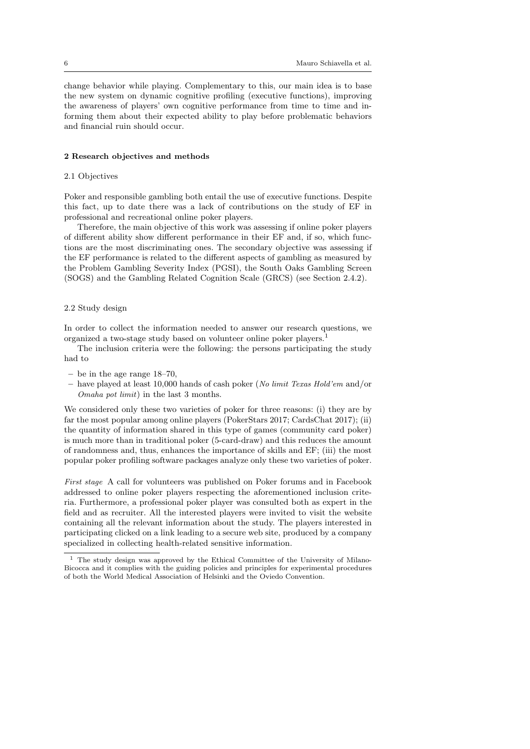change behavior while playing. Complementary to this, our main idea is to base the new system on dynamic cognitive profiling (executive functions), improving the awareness of players' own cognitive performance from time to time and informing them about their expected ability to play before problematic behaviors and financial ruin should occur.

### 2 Research objectives and methods

### 2.1 Objectives

Poker and responsible gambling both entail the use of executive functions. Despite this fact, up to date there was a lack of contributions on the study of EF in professional and recreational online poker players.

Therefore, the main objective of this work was assessing if online poker players of different ability show different performance in their EF and, if so, which functions are the most discriminating ones. The secondary objective was assessing if the EF performance is related to the different aspects of gambling as measured by the Problem Gambling Severity Index (PGSI), the South Oaks Gambling Screen (SOGS) and the Gambling Related Cognition Scale (GRCS) (see Section 2.4.2).

# 2.2 Study design

In order to collect the information needed to answer our research questions, we organized a two-stage study based on volunteer online poker players.<sup>1</sup>

The inclusion criteria were the following: the persons participating the study had to

- be in the age range 18–70,
- have played at least 10,000 hands of cash poker (No limit Texas Hold'em and/or Omaha pot limit) in the last 3 months.

We considered only these two varieties of poker for three reasons: (i) they are by far the most popular among online players (PokerStars 2017; CardsChat 2017); (ii) the quantity of information shared in this type of games (community card poker) is much more than in traditional poker (5-card-draw) and this reduces the amount of randomness and, thus, enhances the importance of skills and EF; (iii) the most popular poker profiling software packages analyze only these two varieties of poker.

First stage A call for volunteers was published on Poker forums and in Facebook addressed to online poker players respecting the aforementioned inclusion criteria. Furthermore, a professional poker player was consulted both as expert in the field and as recruiter. All the interested players were invited to visit the website containing all the relevant information about the study. The players interested in participating clicked on a link leading to a secure web site, produced by a company specialized in collecting health-related sensitive information.

<sup>1</sup> The study design was approved by the Ethical Committee of the University of Milano-Bicocca and it complies with the guiding policies and principles for experimental procedures of both the World Medical Association of Helsinki and the Oviedo Convention.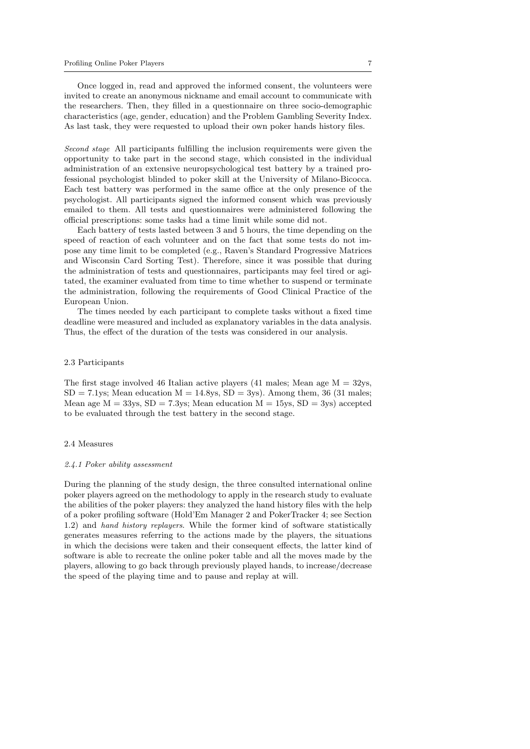Once logged in, read and approved the informed consent, the volunteers were invited to create an anonymous nickname and email account to communicate with the researchers. Then, they filled in a questionnaire on three socio-demographic characteristics (age, gender, education) and the Problem Gambling Severity Index. As last task, they were requested to upload their own poker hands history files.

Second stage All participants fulfilling the inclusion requirements were given the opportunity to take part in the second stage, which consisted in the individual administration of an extensive neuropsychological test battery by a trained professional psychologist blinded to poker skill at the University of Milano-Bicocca. Each test battery was performed in the same office at the only presence of the psychologist. All participants signed the informed consent which was previously emailed to them. All tests and questionnaires were administered following the official prescriptions: some tasks had a time limit while some did not.

Each battery of tests lasted between 3 and 5 hours, the time depending on the speed of reaction of each volunteer and on the fact that some tests do not impose any time limit to be completed (e.g., Raven's Standard Progressive Matrices and Wisconsin Card Sorting Test). Therefore, since it was possible that during the administration of tests and questionnaires, participants may feel tired or agitated, the examiner evaluated from time to time whether to suspend or terminate the administration, following the requirements of Good Clinical Practice of the European Union.

The times needed by each participant to complete tasks without a fixed time deadline were measured and included as explanatory variables in the data analysis. Thus, the effect of the duration of the tests was considered in our analysis.

#### 2.3 Participants

The first stage involved 46 Italian active players (41 males; Mean age  $M = 32$ ys,  $SD = 7.1$ ys; Mean education  $M = 14.8$ ys,  $SD = 3$ ys). Among them, 36 (31 males; Mean age  $M = 33$ ys,  $SD = 7.3$ ys; Mean education  $M = 15$ ys,  $SD = 3$ ys) accepted to be evaluated through the test battery in the second stage.

# 2.4 Measures

#### 2.4.1 Poker ability assessment

During the planning of the study design, the three consulted international online poker players agreed on the methodology to apply in the research study to evaluate the abilities of the poker players: they analyzed the hand history files with the help of a poker profiling software (Hold'Em Manager 2 and PokerTracker 4; see Section 1.2) and hand history replayers. While the former kind of software statistically generates measures referring to the actions made by the players, the situations in which the decisions were taken and their consequent effects, the latter kind of software is able to recreate the online poker table and all the moves made by the players, allowing to go back through previously played hands, to increase/decrease the speed of the playing time and to pause and replay at will.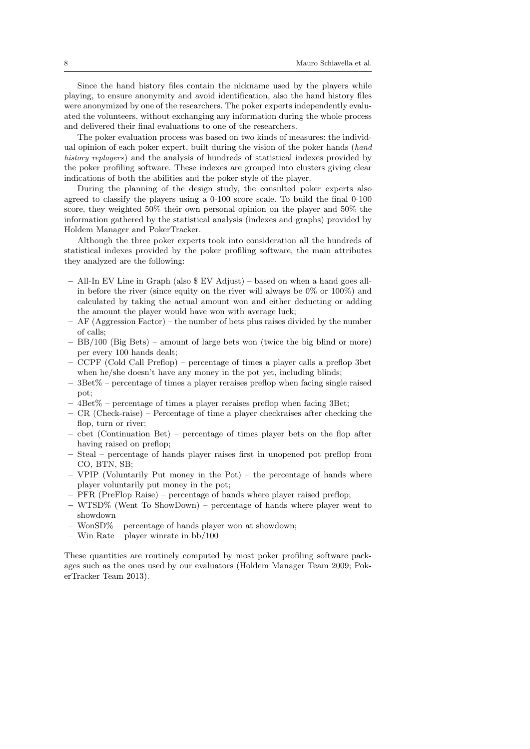Since the hand history files contain the nickname used by the players while playing, to ensure anonymity and avoid identification, also the hand history files were anonymized by one of the researchers. The poker experts independently evaluated the volunteers, without exchanging any information during the whole process and delivered their final evaluations to one of the researchers.

The poker evaluation process was based on two kinds of measures: the individual opinion of each poker expert, built during the vision of the poker hands (hand history replayers) and the analysis of hundreds of statistical indexes provided by the poker profiling software. These indexes are grouped into clusters giving clear indications of both the abilities and the poker style of the player.

During the planning of the design study, the consulted poker experts also agreed to classify the players using a 0-100 score scale. To build the final 0-100 score, they weighted 50% their own personal opinion on the player and 50% the information gathered by the statistical analysis (indexes and graphs) provided by Holdem Manager and PokerTracker.

Although the three poker experts took into consideration all the hundreds of statistical indexes provided by the poker profiling software, the main attributes they analyzed are the following:

- All-In EV Line in Graph (also \$ EV Adjust) based on when a hand goes allin before the river (since equity on the river will always be  $0\%$  or  $100\%$ ) and calculated by taking the actual amount won and either deducting or adding the amount the player would have won with average luck;
- AF (Aggression Factor) the number of bets plus raises divided by the number of calls;
- BB/100 (Big Bets) amount of large bets won (twice the big blind or more) per every 100 hands dealt;
- CCPF (Cold Call Preflop) percentage of times a player calls a preflop 3bet when he/she doesn't have any money in the pot yet, including blinds;
- 3Bet% percentage of times a player reraises preflop when facing single raised pot;
- $-4\text{Det}\%$  percentage of times a player reraises preflop when facing 3Bet;
- CR (Check-raise) Percentage of time a player checkraises after checking the flop, turn or river;
- cbet (Continuation Bet) percentage of times player bets on the flop after having raised on preflop;
- Steal percentage of hands player raises first in unopened pot preflop from CO, BTN, SB;
- $-$  VPIP (Voluntarily Put money in the Pot) the percentage of hands where player voluntarily put money in the pot;
- PFR (PreFlop Raise) percentage of hands where player raised preflop;
- WTSD% (Went To ShowDown) percentage of hands where player went to showdown
- WonSD% percentage of hands player won at showdown;
- Win Rate player winrate in  $bb/100$

These quantities are routinely computed by most poker profiling software packages such as the ones used by our evaluators (Holdem Manager Team 2009; PokerTracker Team 2013).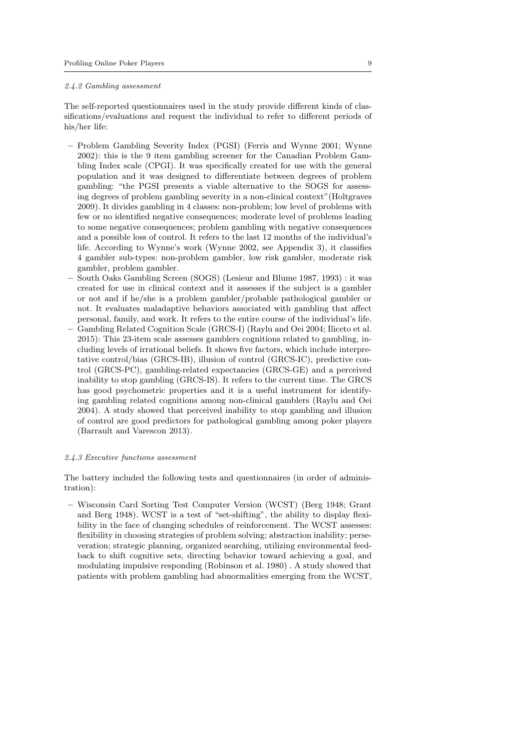## 2.4.2 Gambling assessment

The self-reported questionnaires used in the study provide different kinds of classifications/evaluations and request the individual to refer to different periods of his/her life:

- Problem Gambling Severity Index (PGSI) (Ferris and Wynne 2001; Wynne 2002): this is the 9 item gambling screener for the Canadian Problem Gambling Index scale (CPGI). It was specifically created for use with the general population and it was designed to differentiate between degrees of problem gambling: "the PGSI presents a viable alternative to the SOGS for assessing degrees of problem gambling severity in a non-clinical context"(Holtgraves 2009). It divides gambling in 4 classes: non-problem; low level of problems with few or no identified negative consequences; moderate level of problems leading to some negative consequences; problem gambling with negative consequences and a possible loss of control. It refers to the last 12 months of the individual's life. According to Wynne's work (Wynne 2002, see Appendix 3), it classifies 4 gambler sub-types: non-problem gambler, low risk gambler, moderate risk gambler, problem gambler.
- South Oaks Gambling Screen (SOGS) (Lesieur and Blume 1987, 1993) : it was created for use in clinical context and it assesses if the subject is a gambler or not and if he/she is a problem gambler/probable pathological gambler or not. It evaluates maladaptive behaviors associated with gambling that affect personal, family, and work. It refers to the entire course of the individual's life.
- Gambling Related Cognition Scale (GRCS-I) (Raylu and Oei 2004; Iliceto et al. 2015): This 23-item scale assesses gamblers cognitions related to gambling, including levels of irrational beliefs. It shows five factors, which include interpretative control/bias (GRCS-IB), illusion of control (GRCS-IC), predictive control (GRCS-PC), gambling-related expectancies (GRCS-GE) and a perceived inability to stop gambling (GRCS-IS). It refers to the current time. The GRCS has good psychometric properties and it is a useful instrument for identifying gambling related cognitions among non-clinical gamblers (Raylu and Oei 2004). A study showed that perceived inability to stop gambling and illusion of control are good predictors for pathological gambling among poker players (Barrault and Varescon 2013).

#### 2.4.3 Executive functions assessment

The battery included the following tests and questionnaires (in order of administration):

– Wisconsin Card Sorting Test Computer Version (WCST) (Berg 1948; Grant and Berg 1948). WCST is a test of "set-shifting", the ability to display flexibility in the face of changing schedules of reinforcement. The WCST assesses: flexibility in choosing strategies of problem solving; abstraction inability; perseveration; strategic planning, organized searching, utilizing environmental feedback to shift cognitive sets, directing behavior toward achieving a goal, and modulating impulsive responding (Robinson et al. 1980) . A study showed that patients with problem gambling had abnormalities emerging from the WCST,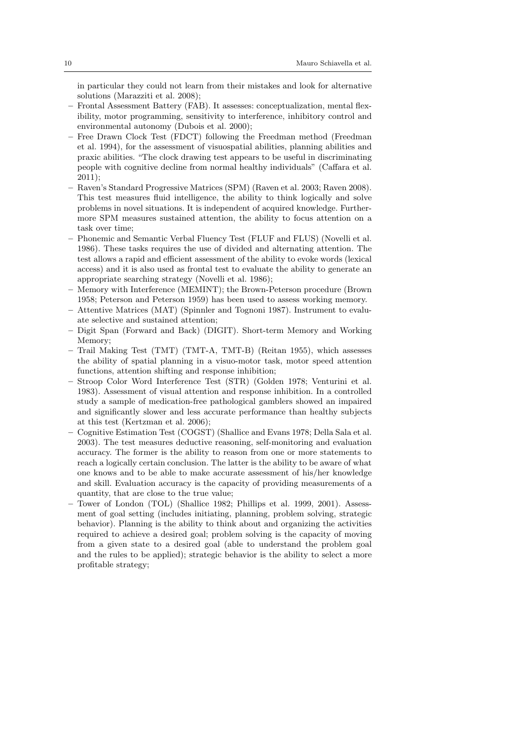in particular they could not learn from their mistakes and look for alternative solutions (Marazziti et al. 2008);

- Frontal Assessment Battery (FAB). It assesses: conceptualization, mental flexibility, motor programming, sensitivity to interference, inhibitory control and environmental autonomy (Dubois et al. 2000);
- Free Drawn Clock Test (FDCT) following the Freedman method (Freedman et al. 1994), for the assessment of visuospatial abilities, planning abilities and praxic abilities. "The clock drawing test appears to be useful in discriminating people with cognitive decline from normal healthy individuals" (Caffara et al. 2011);
- Raven's Standard Progressive Matrices (SPM) (Raven et al. 2003; Raven 2008). This test measures fluid intelligence, the ability to think logically and solve problems in novel situations. It is independent of acquired knowledge. Furthermore SPM measures sustained attention, the ability to focus attention on a task over time;
- Phonemic and Semantic Verbal Fluency Test (FLUF and FLUS) (Novelli et al. 1986). These tasks requires the use of divided and alternating attention. The test allows a rapid and efficient assessment of the ability to evoke words (lexical access) and it is also used as frontal test to evaluate the ability to generate an appropriate searching strategy (Novelli et al. 1986);
- Memory with Interference (MEMINT); the Brown-Peterson procedure (Brown 1958; Peterson and Peterson 1959) has been used to assess working memory.
- Attentive Matrices (MAT) (Spinnler and Tognoni 1987). Instrument to evaluate selective and sustained attention;
- Digit Span (Forward and Back) (DIGIT). Short-term Memory and Working Memory;
- Trail Making Test (TMT) (TMT-A, TMT-B) (Reitan 1955), which assesses the ability of spatial planning in a visuo-motor task, motor speed attention functions, attention shifting and response inhibition;
- Stroop Color Word Interference Test (STR) (Golden 1978; Venturini et al. 1983). Assessment of visual attention and response inhibition. In a controlled study a sample of medication-free pathological gamblers showed an impaired and significantly slower and less accurate performance than healthy subjects at this test (Kertzman et al. 2006);
- Cognitive Estimation Test (COGST) (Shallice and Evans 1978; Della Sala et al. 2003). The test measures deductive reasoning, self-monitoring and evaluation accuracy. The former is the ability to reason from one or more statements to reach a logically certain conclusion. The latter is the ability to be aware of what one knows and to be able to make accurate assessment of his/her knowledge and skill. Evaluation accuracy is the capacity of providing measurements of a quantity, that are close to the true value;
- Tower of London (TOL) (Shallice 1982; Phillips et al. 1999, 2001). Assessment of goal setting (includes initiating, planning, problem solving, strategic behavior). Planning is the ability to think about and organizing the activities required to achieve a desired goal; problem solving is the capacity of moving from a given state to a desired goal (able to understand the problem goal and the rules to be applied); strategic behavior is the ability to select a more profitable strategy;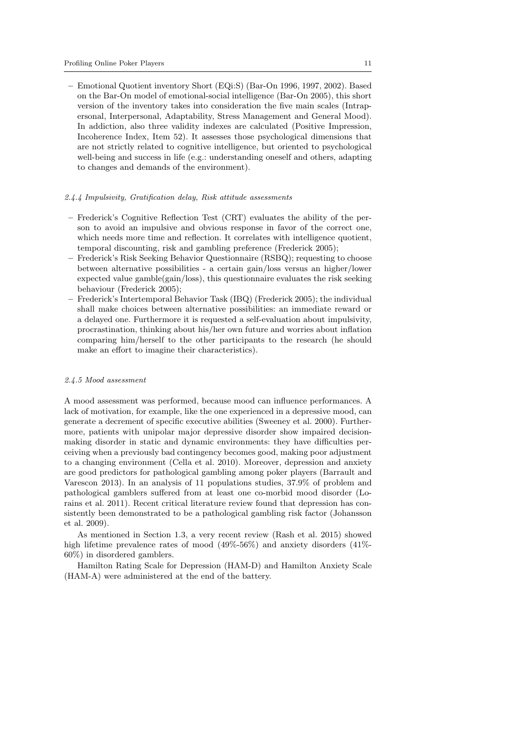– Emotional Quotient inventory Short (EQi:S) (Bar-On 1996, 1997, 2002). Based on the Bar-On model of emotional-social intelligence (Bar-On 2005), this short version of the inventory takes into consideration the five main scales (Intrapersonal, Interpersonal, Adaptability, Stress Management and General Mood). In addiction, also three validity indexes are calculated (Positive Impression, Incoherence Index, Item 52). It assesses those psychological dimensions that are not strictly related to cognitive intelligence, but oriented to psychological well-being and success in life (e.g.: understanding oneself and others, adapting to changes and demands of the environment).

#### 2.4.4 Impulsivity, Gratification delay, Risk attitude assessments

- Frederick's Cognitive Reflection Test (CRT) evaluates the ability of the person to avoid an impulsive and obvious response in favor of the correct one, which needs more time and reflection. It correlates with intelligence quotient, temporal discounting, risk and gambling preference (Frederick 2005);
- Frederick's Risk Seeking Behavior Questionnaire (RSBQ); requesting to choose between alternative possibilities - a certain gain/loss versus an higher/lower expected value gamble(gain/loss), this questionnaire evaluates the risk seeking behaviour (Frederick 2005);
- Frederick's Intertemporal Behavior Task (IBQ) (Frederick 2005); the individual shall make choices between alternative possibilities: an immediate reward or a delayed one. Furthermore it is requested a self-evaluation about impulsivity, procrastination, thinking about his/her own future and worries about inflation comparing him/herself to the other participants to the research (he should make an effort to imagine their characteristics).

### 2.4.5 Mood assessment

A mood assessment was performed, because mood can influence performances. A lack of motivation, for example, like the one experienced in a depressive mood, can generate a decrement of specific executive abilities (Sweeney et al. 2000). Furthermore, patients with unipolar major depressive disorder show impaired decisionmaking disorder in static and dynamic environments: they have difficulties perceiving when a previously bad contingency becomes good, making poor adjustment to a changing environment (Cella et al. 2010). Moreover, depression and anxiety are good predictors for pathological gambling among poker players (Barrault and Varescon 2013). In an analysis of 11 populations studies, 37.9% of problem and pathological gamblers suffered from at least one co-morbid mood disorder (Lorains et al. 2011). Recent critical literature review found that depression has consistently been demonstrated to be a pathological gambling risk factor (Johansson et al. 2009).

As mentioned in Section 1.3, a very recent review (Rash et al. 2015) showed high lifetime prevalence rates of mood  $(49\% - 56\%)$  and anxiety disorders  $(41\% - 56\%)$ 60%) in disordered gamblers.

Hamilton Rating Scale for Depression (HAM-D) and Hamilton Anxiety Scale (HAM-A) were administered at the end of the battery.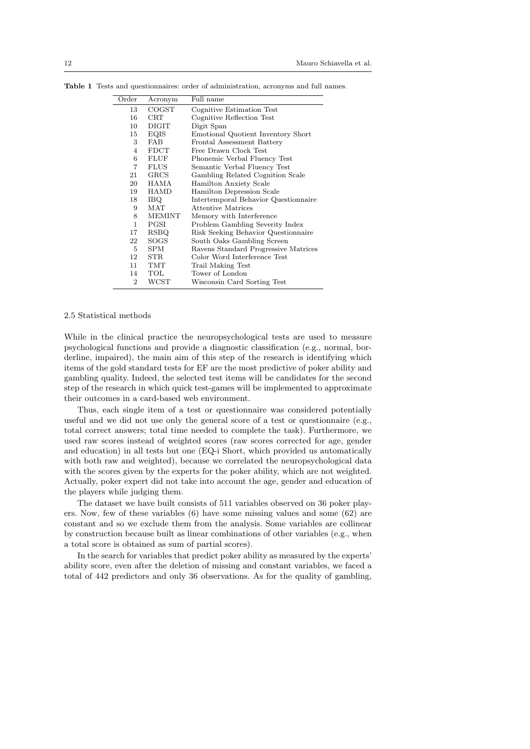| Order          | Acronym              | Full name                            |
|----------------|----------------------|--------------------------------------|
| 13             | COGST                | Cognitive Estimation Test            |
| 16             | $\operatorname{CRT}$ | Cognitive Reflection Test            |
| 10             | <b>DIGIT</b>         | Digit Span                           |
| 15             | <b>EQIS</b>          | Emotional Quotient Inventory Short   |
| 3              | <b>FAB</b>           | Frontal Assessment Battery           |
| 4              | <b>FDCT</b>          | Free Drawn Clock Test                |
| 6              | FLUF                 | Phonemic Verbal Fluency Test         |
| 7              | FLUS                 | Semantic Verbal Fluency Test         |
| 21             | GRCS                 | Gambling Related Cognition Scale     |
| 20             | HAMA                 | Hamilton Anxiety Scale               |
| 19             | <b>HAMD</b>          | Hamilton Depression Scale            |
| 18             | IBQ.                 | Intertemporal Behavior Questionnaire |
| 9              | <b>MAT</b>           | Attentive Matrices                   |
| 8              | <b>MEMINT</b>        | Memory with Interference             |
| 1              | PGSI                 | Problem Gambling Severity Index      |
| 17             | <b>RSBQ</b>          | Risk Seeking Behavior Questionnaire  |
| 22             | SOGS                 | South Oaks Gambling Screen           |
| 5              | SPM                  | Ravens Standard Progressive Matrices |
| 12             | STR                  | Color Word Interference Test         |
| 11             | TMT                  | Trail Making Test                    |
| 14             | TOL                  | Tower of London                      |
| $\overline{2}$ | WCST                 | Wisconsin Card Sorting Test          |

Table 1 Tests and questionnaires: order of administration, acronyms and full names.

# 2.5 Statistical methods

While in the clinical practice the neuropsychological tests are used to measure psychological functions and provide a diagnostic classification (e.g., normal, borderline, impaired), the main aim of this step of the research is identifying which items of the gold standard tests for EF are the most predictive of poker ability and gambling quality. Indeed, the selected test items will be candidates for the second step of the research in which quick test-games will be implemented to approximate their outcomes in a card-based web environment.

Thus, each single item of a test or questionnaire was considered potentially useful and we did not use only the general score of a test or questionnaire (e.g., total correct answers; total time needed to complete the task). Furthermore, we used raw scores instead of weighted scores (raw scores corrected for age, gender and education) in all tests but one (EQ-i Short, which provided us automatically with both raw and weighted), because we correlated the neuropsychological data with the scores given by the experts for the poker ability, which are not weighted. Actually, poker expert did not take into account the age, gender and education of the players while judging them.

The dataset we have built consists of 511 variables observed on 36 poker players. Now, few of these variables (6) have some missing values and some (62) are constant and so we exclude them from the analysis. Some variables are collinear by construction because built as linear combinations of other variables (e.g., when a total score is obtained as sum of partial scores).

In the search for variables that predict poker ability as measured by the experts' ability score, even after the deletion of missing and constant variables, we faced a total of 442 predictors and only 36 observations. As for the quality of gambling,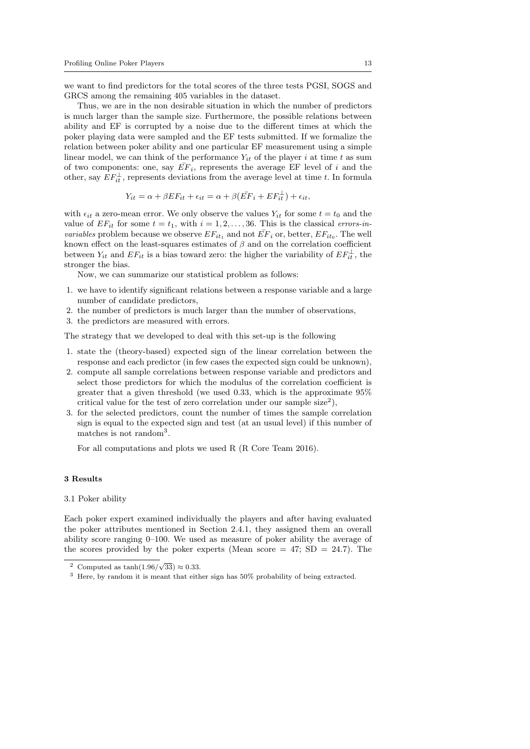we want to find predictors for the total scores of the three tests PGSI, SOGS and GRCS among the remaining 405 variables in the dataset.

Thus, we are in the non desirable situation in which the number of predictors is much larger than the sample size. Furthermore, the possible relations between ability and EF is corrupted by a noise due to the different times at which the poker playing data were sampled and the EF tests submitted. If we formalize the relation between poker ability and one particular EF measurement using a simple linear model, we can think of the performance  $Y_{it}$  of the player i at time t as sum of two components: one, say  $E\overline{F}_i$ , represents the average EF level of i and the other, say  $EF_{it}^{\perp}$ , represents deviations from the average level at time t. In formula

$$
Y_{it} = \alpha + \beta EF_{it} + \epsilon_{it} = \alpha + \beta (EF_i + EF_{it}^{\perp}) + \epsilon_{it},
$$

with  $\epsilon_{it}$  a zero-mean error. We only observe the values  $Y_{it}$  for some  $t = t_0$  and the value of  $EF_{it}$  for some  $t = t_1$ , with  $i = 1, 2, ..., 36$ . This is the classical errors-invariables problem because we observe  $EF_{it_1}$  and not  $\overline{EF}_i$  or, better,  $EF_{it_0}$ . The well known effect on the least-squares estimates of  $\beta$  and on the correlation coefficient between  $Y_{it}$  and  $EF_{it}$  is a bias toward zero: the higher the variability of  $EF_{it}^{\perp}$ , the stronger the bias.

Now, we can summarize our statistical problem as follows:

- 1. we have to identify significant relations between a response variable and a large number of candidate predictors,
- 2. the number of predictors is much larger than the number of observations,
- 3. the predictors are measured with errors.

The strategy that we developed to deal with this set-up is the following

- 1. state the (theory-based) expected sign of the linear correlation between the response and each predictor (in few cases the expected sign could be unknown),
- 2. compute all sample correlations between response variable and predictors and select those predictors for which the modulus of the correlation coefficient is greater that a given threshold (we used 0.33, which is the approximate 95% critical value for the test of zero correlation under our sample size<sup>2</sup>),
- 3. for the selected predictors, count the number of times the sample correlation sign is equal to the expected sign and test (at an usual level) if this number of matches is not random<sup>3</sup>.

For all computations and plots we used R (R Core Team 2016).

### 3 Results

#### 3.1 Poker ability

Each poker expert examined individually the players and after having evaluated the poker attributes mentioned in Section 2.4.1, they assigned them an overall ability score ranging 0–100. We used as measure of poker ability the average of the scores provided by the poker experts (Mean score  $= 47$ ; SD  $= 24.7$ ). The

<sup>&</sup>lt;sup>2</sup> Computed as  $\tanh(1.96/\sqrt{33}) \approx 0.33$ .

<sup>3</sup> Here, by random it is meant that either sign has 50% probability of being extracted.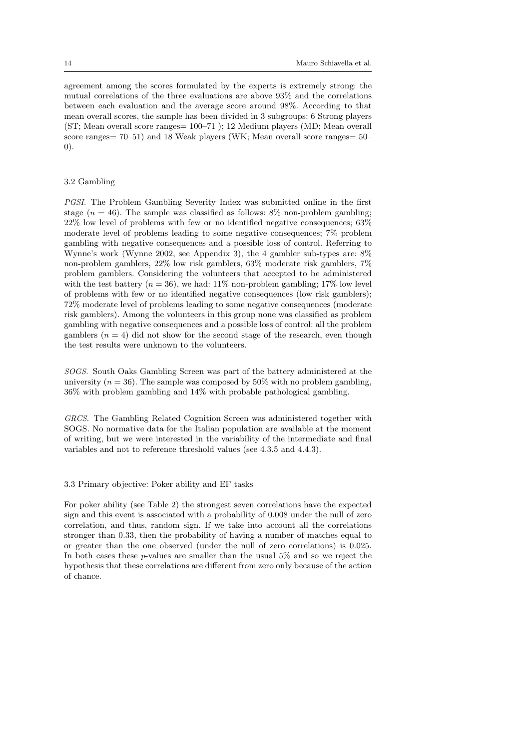agreement among the scores formulated by the experts is extremely strong: the mutual correlations of the three evaluations are above 93% and the correlations between each evaluation and the average score around 98%. According to that mean overall scores, the sample has been divided in 3 subgroups: 6 Strong players (ST; Mean overall score ranges= 100–71 ); 12 Medium players (MD; Mean overall score ranges= 70–51) and 18 Weak players (WK; Mean overall score ranges= 50– 0).

# 3.2 Gambling

PGSI. The Problem Gambling Severity Index was submitted online in the first stage  $(n = 46)$ . The sample was classified as follows: 8\% non-problem gambling; 22% low level of problems with few or no identified negative consequences; 63% moderate level of problems leading to some negative consequences; 7% problem gambling with negative consequences and a possible loss of control. Referring to Wynne's work (Wynne 2002, see Appendix 3), the 4 gambler sub-types are: 8% non-problem gamblers, 22% low risk gamblers, 63% moderate risk gamblers, 7% problem gamblers. Considering the volunteers that accepted to be administered with the test battery  $(n = 36)$ , we had: 11% non-problem gambling; 17% low level of problems with few or no identified negative consequences (low risk gamblers); 72% moderate level of problems leading to some negative consequences (moderate risk gamblers). Among the volunteers in this group none was classified as problem gambling with negative consequences and a possible loss of control: all the problem gamblers  $(n = 4)$  did not show for the second stage of the research, even though the test results were unknown to the volunteers.

SOGS. South Oaks Gambling Screen was part of the battery administered at the university ( $n = 36$ ). The sample was composed by 50% with no problem gambling, 36% with problem gambling and 14% with probable pathological gambling.

GRCS. The Gambling Related Cognition Screen was administered together with SOGS. No normative data for the Italian population are available at the moment of writing, but we were interested in the variability of the intermediate and final variables and not to reference threshold values (see 4.3.5 and 4.4.3).

# 3.3 Primary objective: Poker ability and EF tasks

For poker ability (see Table 2) the strongest seven correlations have the expected sign and this event is associated with a probability of 0.008 under the null of zero correlation, and thus, random sign. If we take into account all the correlations stronger than 0.33, then the probability of having a number of matches equal to or greater than the one observed (under the null of zero correlations) is 0.025. In both cases these  $p$ -values are smaller than the usual 5% and so we reject the hypothesis that these correlations are different from zero only because of the action of chance.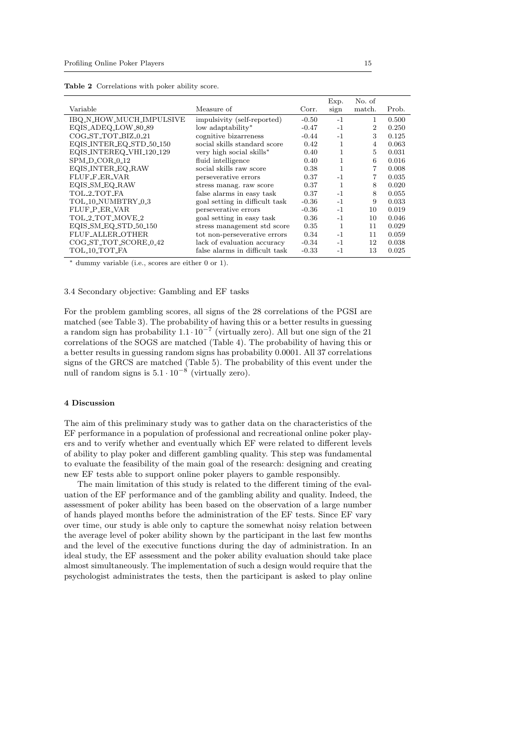| <b>Table 2</b> Correlations with poker ability score. |  |  |  |  |
|-------------------------------------------------------|--|--|--|--|
|-------------------------------------------------------|--|--|--|--|

|                              |                                |         | Exp. | No. of         |       |
|------------------------------|--------------------------------|---------|------|----------------|-------|
| Variable                     | Measure of                     | Corr.   | sign | match.         | Prob. |
| IBQ_N_HOW_MUCH_IMPULSIVE     | impulsivity (self-reported)    | $-0.50$ | $-1$ | $\mathbf{1}$   | 0.500 |
| EQIS_ADEQ_LOW_80_89          | low adaptability*              | $-0.47$ | $-1$ | $\mathfrak{D}$ | 0.250 |
| COG_ST_TOT_BIZ_0_21          | cognitive bizarreness          | $-0.44$ | $-1$ | 3              | 0.125 |
| EQIS_INTER_EQ_STD_50_150     | social skills standard score   | 0.42    | 1    | 4              | 0.063 |
| EQIS_INTEREQ_VHI_120_129     | very high social skills*       | 0.40    | 1    | 5              | 0.031 |
| $SPM.D$ <sub>-COR-0-12</sub> | fluid intelligence             | 0.40    |      | 6              | 0.016 |
| EQIS_INTER_EQ_RAW            | social skills raw score        | 0.38    |      | 7              | 0.008 |
| FLUF_F_ER_VAR                | perseverative errors           | 0.37    | $-1$ |                | 0.035 |
| EQIS_SM_EQ_RAW               | stress manag. raw score        | 0.37    | 1    | 8              | 0.020 |
| TOL_2_TOT_FA                 | false alarms in easy task      | 0.37    | $-1$ | 8              | 0.055 |
| TOL_10_NUMBTRY_0_3           | goal setting in difficult task | $-0.36$ | $-1$ | 9              | 0.033 |
| FLUF_P_ER_VAR                | perseverative errors           | $-0.36$ | $-1$ | 10             | 0.019 |
| TOL_2_TOT_MOVE_2             | goal setting in easy task      | 0.36    | $-1$ | 10             | 0.046 |
| EQIS_SM_EQ_STD_50_150        | stress management std score    | 0.35    | 1    | 11             | 0.029 |
| <b>FLUF_ALLER_OTHER</b>      | tot non-perseverative errors   | 0.34    | $-1$ | 11             | 0.059 |
| COG_ST_TOT_SCORE_0_42        | lack of evaluation accuracy    | $-0.34$ | $-1$ | 12             | 0.038 |
| TOL_10_TOT_FA                | false alarms in difficult task | $-0.33$ | $-1$ | 13             | 0.025 |

<sup>∗</sup> dummy variable (i.e., scores are either 0 or 1).

#### 3.4 Secondary objective: Gambling and EF tasks

For the problem gambling scores, all signs of the 28 correlations of the PGSI are matched (see Table 3). The probability of having this or a better results in guessing a random sign has probability  $1.1 \cdot 10^{-7}$  (virtually zero). All but one sign of the 21 correlations of the SOGS are matched (Table 4). The probability of having this or a better results in guessing random signs has probability 0.0001. All 37 correlations signs of the GRCS are matched (Table 5). The probability of this event under the null of random signs is  $5.1 \cdot 10^{-8}$  (virtually zero).

#### 4 Discussion

The aim of this preliminary study was to gather data on the characteristics of the EF performance in a population of professional and recreational online poker players and to verify whether and eventually which EF were related to different levels of ability to play poker and different gambling quality. This step was fundamental to evaluate the feasibility of the main goal of the research: designing and creating new EF tests able to support online poker players to gamble responsibly.

The main limitation of this study is related to the different timing of the evaluation of the EF performance and of the gambling ability and quality. Indeed, the assessment of poker ability has been based on the observation of a large number of hands played months before the administration of the EF tests. Since EF vary over time, our study is able only to capture the somewhat noisy relation between the average level of poker ability shown by the participant in the last few months and the level of the executive functions during the day of administration. In an ideal study, the EF assessment and the poker ability evaluation should take place almost simultaneously. The implementation of such a design would require that the psychologist administrates the tests, then the participant is asked to play online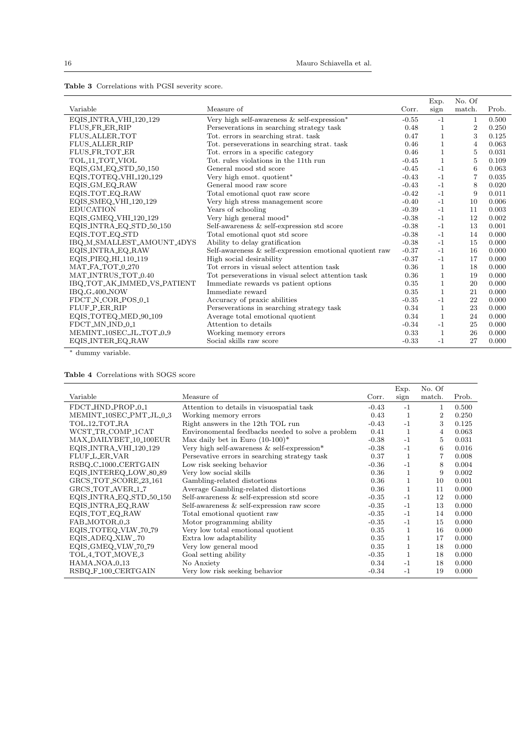Table 3 Correlations with PGSI severity score.

|                             |                                                         |         | Exp.         | No. Of         |       |
|-----------------------------|---------------------------------------------------------|---------|--------------|----------------|-------|
| Variable                    | Measure of                                              | Corr.   | sign         | match.         | Prob. |
| EQIS_INTRA_VHI_120_129      | Very high self-awareness & self-expression*             | $-0.55$ | $-1$         | $\mathbf{1}$   | 0.500 |
| FLUS_FR_ER_RIP              | Perseverations in searching strategy task               | 0.48    | $\mathbf{1}$ | $\overline{2}$ | 0.250 |
| <b>FLUS_ALLER_TOT</b>       | Tot. errors in searching strat. task                    | 0.47    | $\mathbf{1}$ | 3              | 0.125 |
| <b>FLUS_ALLER_RIP</b>       | Tot. perseverations in searching strat. task            | 0.46    | $\mathbf{1}$ | $\overline{4}$ | 0.063 |
| FLUS_FR_TOT_ER              | Tot. errors in a specific category                      | 0.46    | $\mathbf{1}$ | 5              | 0.031 |
| TOL_11_TOT_VIOL             | Tot, rules violations in the 11th run                   | $-0.45$ | $\mathbf{1}$ | 5              | 0.109 |
| EQIS_GM_EQ_STD_50_150       | General mood std score                                  | $-0.45$ | $-1$         | 6              | 0.063 |
| EQIS_TOTEQ_VHI_120_129      | Very high emot. quotient <sup>*</sup>                   | $-0.43$ | $-1$         | 7              | 0.035 |
| EQIS_GM_EQ_RAW              | General mood raw score                                  | $-0.43$ | $-1$         | 8              | 0.020 |
| EQIS_TOT_EQ_RAW             | Total emotional quot raw score                          | $-0.42$ | $-1$         | 9              | 0.011 |
| EQIS_SMEQ_VHI_120_129       | Very high stress management score                       | $-0.40$ | $-1$         | 10             | 0.006 |
| <b>EDUCATION</b>            | Years of schooling                                      | $-0.39$ | $-1$         | 11             | 0.003 |
| EQIS_GMEQ_VHI_120_129       | Very high general mood*                                 | $-0.38$ | $-1$         | 12             | 0.002 |
| EQIS_INTRA_EQ_STD_50_150    | Self-awareness & self-expression std score              | $-0.38$ | $-1$         | 13             | 0.001 |
| EQIS_TOT_EQ_STD             | Total emotional quot std score                          | $-0.38$ | $-1$         | 14             | 0.000 |
| IBQ_M_SMALLEST_AMOUNT_4DYS  | Ability to delay gratification                          | $-0.38$ | $-1$         | 15             | 0.000 |
| EQIS_INTRA_EQ_RAW           | Self-awareness & self-expression emotional quotient raw | $-0.37$ | $-1$         | 16             | 0.000 |
| EQIS_PIEQ_HI_110_119        | High social desirability                                | $-0.37$ | $-1$         | 17             | 0.000 |
| MAT_FA_TOT_0_270            | Tot errors in visual select attention task              | 0.36    | $\mathbf{1}$ | 18             | 0.000 |
| MAT_INTRUS_TOT_0.40         | Tot perseverations in visual select attention task      | 0.36    | $\mathbf{1}$ | 19             | 0.000 |
| IBQ_TOT_AK_IMMED_VS_PATIENT | Immediate rewards vs patient options                    | 0.35    | $\mathbf{1}$ | 20             | 0.000 |
| IBQ_G_400_NOW               | Immediate reward                                        | 0.35    | $\mathbf{1}$ | 21             | 0.000 |
| FDCT_N_COR_POS_0_1          | Accuracy of praxic abilities                            | $-0.35$ | $-1$         | 22             | 0.000 |
| FLUF_P_ER_RIP               | Perseverations in searching strategy task               | 0.34    | $\mathbf{1}$ | 23             | 0.000 |
| EQIS_TOTEQ_MED_90_109       | Average total emotional quotient                        | 0.34    | $\mathbf{1}$ | 24             | 0.000 |
| FDCT_MN_IND_0_1             | Attention to details                                    | $-0.34$ | $-1$         | 25             | 0.000 |
| MEMINT_10SEC_JL_TOT_0_9     | Working memory errors                                   | 0.33    | $\mathbf{1}$ | 26             | 0.000 |
| EQIS_INTER_EQ_RAW           | Social skills raw score                                 | $-0.33$ | $-1$         | 27             | 0.000 |

<sup>∗</sup> dummy variable.

Table 4 Correlations with SOGS score

|                                                  |                                                    |         | Exp.         | No. Of         |       |
|--------------------------------------------------|----------------------------------------------------|---------|--------------|----------------|-------|
| Variable                                         | Measure of                                         | Corr.   | sign         | match.         | Prob. |
| FDCT_HND_PROP_0_1                                | Attention to details in visuospatial task          | $-0.43$ | $-1$         | 1.             | 0.500 |
| MEMINT <sub>-10SEC</sub> -PMT <sub>-JL-0-3</sub> | Working memory errors                              | 0.43    | 1            | $\overline{2}$ | 0.250 |
| TOL_12_TOT_RA                                    | Right answers in the 12th TOL run                  | $-0.43$ | $-1$         | 3              | 0.125 |
| WCST_TR_COMP_1CAT                                | Environomental feedbacks needed to solve a problem | 0.41    | 1            | 4              | 0.063 |
| MAX_DAILYBET_10_100EUR                           | Max daily bet in Euro $(10-100)^*$                 | $-0.38$ | $-1$         | 5              | 0.031 |
| EQIS_INTRA_VHI_120_129                           | Very high self-awareness $\&$ self-expression*     | $-0.38$ | $-1$         | 6              | 0.016 |
| FLUF_L_ER_VAR                                    | Persevative errors in searching strategy task      | 0.37    | $\mathbf{1}$ | $\overline{7}$ | 0.008 |
| RSBQ_C_1000_CERTGAIN                             | Low risk seeking behavior                          | $-0.36$ | $-1$         | 8              | 0.004 |
| EQIS_INTEREQ_LOW_80_89                           | Very low social skills                             | 0.36    | $\mathbf 1$  | 9              | 0.002 |
| GRCS_TOT_SCORE_23_161                            | Gambling-related distortions                       | 0.36    | 1            | 10             | 0.001 |
| GRCS_TOT_AVER_1_7                                | Average Gambling-related distortions               | 0.36    | $\mathbf{1}$ | 11             | 0.000 |
| EQIS_INTRA_EQ_STD_50_150                         | Self-awareness & self-expression std score         | $-0.35$ | $-1$         | 12             | 0.000 |
| EQIS_INTRA_EQ_RAW                                | Self-awareness & self-expression raw score         | $-0.35$ | $-1$         | 13             | 0.000 |
| EQIS_TOT_EQ_RAW                                  | Total emotional quotient raw                       | $-0.35$ | $-1$         | 14             | 0.000 |
| FAB_MOTOR_0_3                                    | Motor programming ability                          | $-0.35$ | $-1$         | 15             | 0.000 |
| EQIS_TOTEQ_VLW_70_79                             | Very low total emotional quotient                  | 0.35    | 1            | 16             | 0.000 |
| EQIS_ADEQ_XLW_.70                                | Extra low adaptability                             | 0.35    | $\mathbf{1}$ | 17             | 0.000 |
| EQIS_GMEQ_VLW_70_79                              | Very low general mood                              | 0.35    | 1            | 18             | 0.000 |
| TOL_4_TOT_MOVE_3                                 | Goal setting ability                               | $-0.35$ | $\mathbf{1}$ | 18             | 0.000 |
| HAMA_NOA_0_13                                    | No Anxiety                                         | 0.34    | $-1$         | 18             | 0.000 |
| RSBQ_F_100_CERTGAIN                              | Very low risk seeking behavior                     | $-0.34$ | $-1$         | 19             | 0.000 |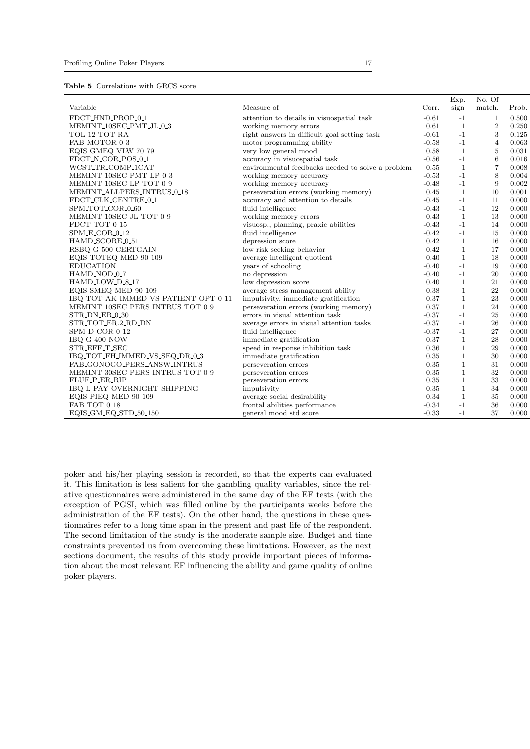| Variable<br>sign<br>Measure of<br>Corr.<br>match.<br>Prob.<br>FDCT_HND_PROP_0_1<br>$-0.61$<br>$-1$<br>0.500<br>attention to details in visuospatial task<br>$\mathbf{1}$<br>$\boldsymbol{2}$<br>MEMINT_10SEC_PMT_JL_0_3<br>0.61<br>0.250<br>working memory errors<br>1<br>3<br>TOL_12_TOT_RA<br>right answers in difficult goal setting task<br>$-0.61$<br>$-1$<br>0.125<br>FAB_MOTOR_0_3<br>$-1$<br>$\overline{4}$<br>0.063<br>motor programming ability<br>$-0.58$<br>very low general mood<br>$\overline{5}$<br>0.031<br>EQIS_GMEQ_VLW_70_79<br>0.58<br>$\mathbf{1}$<br>$\,6$<br>FDCT_N_COR_POS_0_1<br>accuracy in visuospatial task<br>$-0.56$<br>0.016<br>$-1$<br>WCST_TR_COMP_1CAT<br>environmental feedbacks needed to solve a problem<br>0.55<br>$\overline{7}$<br>1<br>0.008<br>MEMINT_10SEC_PMT_LP_0_3<br>working memory accuracy<br>$-0.53$<br>8<br>$-1$<br>0.004<br>9<br>0.002<br>MEMINT_10SEC_LP_TOT_0_9<br>working memory accuracy<br>$-0.48$<br>$-1$<br>perseveration errors (working memory)<br>MEMINT_ALLPERS_INTRUS_0_18<br>0.001<br>0.45<br>1<br>10<br>accuracy and attention to details<br>0.000<br>FDCT_CLK_CENTRE_0_1<br>$-0.45$<br>$-1$<br>11<br>SPM_TOT_COR_0_60<br>fluid intelligence<br>$-0.43$<br>$-1$<br>12<br>0.000<br>MEMINT <sub>-10SEC</sub> JL_TOT <sub>-0-9</sub><br>13<br>working memory errors<br>0.43<br>1<br>0.000<br>visuosp., planning, praxic abilities<br>FDCT_TOT_0_15<br>$-0.43$<br>14<br>0.000<br>$-1$<br>fluid intelligence<br>SPM_E_COR_0_12<br>$-0.42$<br>$-1$<br>15<br>0.000<br>depression score<br>0.42<br>0.000<br>HAMD_SCORE_0_51<br>1<br>16<br>low risk seeking behavior<br>17<br>RSBQ_G_500_CERTGAIN<br>0.42<br>$\mathbf{1}$<br>0.000<br>EQIS_TOTEQ_MED_90_109<br>average intelligent quotient<br>0.40<br>18<br>0.000<br>$\mathbf{1}$<br><b>EDUCATION</b><br>years of schooling<br>$-1$<br>$-0.40$<br>19<br>0.000<br>20<br>HAMD_NOD_0_7<br>no depression<br>$-0.40$<br>$-1$<br>0.000<br>21<br>HAMD LOW D 8.17<br>low depression score<br>0.40<br>$\mathbf{1}$<br>0.000<br>22<br>EQIS_SMEQ_MED_90_109<br>average stress management ability<br>0.38<br>0.000<br>$\mathbf{1}$<br>IBQ_TOT_AK_IMMED_VS_PATIENT_OPT_0_11<br>impulsivity, immediate gratification<br>23<br>0.000<br>0.37<br>$\mathbf{1}$<br>MEMINT_10SEC_PERS_INTRUS_TOT_0_9<br>0.37<br>24<br>perseveration errors (working memory)<br>1<br>0.000<br>$-0.37$<br>$-1$<br>25<br>STR_DN_ER_0_30<br>errors in visual attention task<br>0.000<br>26<br>STR_TOT_ER.2_RD_DN<br>average errors in visual attention tasks<br>$-0.37$<br>$-1$<br>0.000<br>$-0.37$<br>27<br>SPM_D_COR_0_12<br>fluid intelligence<br>$-1$<br>0.000<br>0.37<br>28<br>IBQ_G_400_NOW<br>immediate gratification<br>$\mathbf{1}$<br>0.000<br>29<br>STR_EFF_T_SEC<br>speed in response inhibition task<br>0.36<br>$\mathbf{1}$<br>0.000<br>IBQ_TOT_FH_IMMED_VS_SEQ_DR_0_3<br>30<br>immediate gratification<br>0.35<br>$\mathbf{1}$<br>0.000<br>31<br>FAB_GONOGO_PERS_ANSW_INTRUS<br>perseveration errors<br>0.35<br>$\mathbf{1}$<br>0.000<br>MEMINT_30SEC_PERS_INTRUS_TOT_0_9<br>0.35<br>32<br>perseveration errors<br>0.000<br>$\mathbf 1$<br>33<br>FLUF_P_ER_RIP<br>perseveration errors<br>0.35<br>$\mathbf{1}$<br>0.000<br>IBQ_L_PAY_OVERNIGHT_SHIPPING<br>34<br>impulsivity<br>0.35<br>$\mathbf{1}$<br>0.000<br>average social desirability<br>0.34<br>35<br>0.000<br>EQIS_PIEQ_MED_90_109<br>1<br>FAB_TOT_0_18<br>frontal abilities performance<br>$-0.34$<br>36<br>$-1$<br>0.000<br>37<br>general mood std score<br>$-0.33$<br>$-1$<br>EQIS_GM_EQ_STD_50_150<br>0.000 |  | Exp. | No. Of |  |
|------------------------------------------------------------------------------------------------------------------------------------------------------------------------------------------------------------------------------------------------------------------------------------------------------------------------------------------------------------------------------------------------------------------------------------------------------------------------------------------------------------------------------------------------------------------------------------------------------------------------------------------------------------------------------------------------------------------------------------------------------------------------------------------------------------------------------------------------------------------------------------------------------------------------------------------------------------------------------------------------------------------------------------------------------------------------------------------------------------------------------------------------------------------------------------------------------------------------------------------------------------------------------------------------------------------------------------------------------------------------------------------------------------------------------------------------------------------------------------------------------------------------------------------------------------------------------------------------------------------------------------------------------------------------------------------------------------------------------------------------------------------------------------------------------------------------------------------------------------------------------------------------------------------------------------------------------------------------------------------------------------------------------------------------------------------------------------------------------------------------------------------------------------------------------------------------------------------------------------------------------------------------------------------------------------------------------------------------------------------------------------------------------------------------------------------------------------------------------------------------------------------------------------------------------------------------------------------------------------------------------------------------------------------------------------------------------------------------------------------------------------------------------------------------------------------------------------------------------------------------------------------------------------------------------------------------------------------------------------------------------------------------------------------------------------------------------------------------------------------------------------------------------------------------------------------------------------------------------------------------------------------------------------------------------------------------------------------------------------------------------------------------------------------------------------------------------------------------------------------------------------------------------------------------------------|--|------|--------|--|
|                                                                                                                                                                                                                                                                                                                                                                                                                                                                                                                                                                                                                                                                                                                                                                                                                                                                                                                                                                                                                                                                                                                                                                                                                                                                                                                                                                                                                                                                                                                                                                                                                                                                                                                                                                                                                                                                                                                                                                                                                                                                                                                                                                                                                                                                                                                                                                                                                                                                                                                                                                                                                                                                                                                                                                                                                                                                                                                                                                                                                                                                                                                                                                                                                                                                                                                                                                                                                                                                                                                                                            |  |      |        |  |
|                                                                                                                                                                                                                                                                                                                                                                                                                                                                                                                                                                                                                                                                                                                                                                                                                                                                                                                                                                                                                                                                                                                                                                                                                                                                                                                                                                                                                                                                                                                                                                                                                                                                                                                                                                                                                                                                                                                                                                                                                                                                                                                                                                                                                                                                                                                                                                                                                                                                                                                                                                                                                                                                                                                                                                                                                                                                                                                                                                                                                                                                                                                                                                                                                                                                                                                                                                                                                                                                                                                                                            |  |      |        |  |
|                                                                                                                                                                                                                                                                                                                                                                                                                                                                                                                                                                                                                                                                                                                                                                                                                                                                                                                                                                                                                                                                                                                                                                                                                                                                                                                                                                                                                                                                                                                                                                                                                                                                                                                                                                                                                                                                                                                                                                                                                                                                                                                                                                                                                                                                                                                                                                                                                                                                                                                                                                                                                                                                                                                                                                                                                                                                                                                                                                                                                                                                                                                                                                                                                                                                                                                                                                                                                                                                                                                                                            |  |      |        |  |
|                                                                                                                                                                                                                                                                                                                                                                                                                                                                                                                                                                                                                                                                                                                                                                                                                                                                                                                                                                                                                                                                                                                                                                                                                                                                                                                                                                                                                                                                                                                                                                                                                                                                                                                                                                                                                                                                                                                                                                                                                                                                                                                                                                                                                                                                                                                                                                                                                                                                                                                                                                                                                                                                                                                                                                                                                                                                                                                                                                                                                                                                                                                                                                                                                                                                                                                                                                                                                                                                                                                                                            |  |      |        |  |
|                                                                                                                                                                                                                                                                                                                                                                                                                                                                                                                                                                                                                                                                                                                                                                                                                                                                                                                                                                                                                                                                                                                                                                                                                                                                                                                                                                                                                                                                                                                                                                                                                                                                                                                                                                                                                                                                                                                                                                                                                                                                                                                                                                                                                                                                                                                                                                                                                                                                                                                                                                                                                                                                                                                                                                                                                                                                                                                                                                                                                                                                                                                                                                                                                                                                                                                                                                                                                                                                                                                                                            |  |      |        |  |
|                                                                                                                                                                                                                                                                                                                                                                                                                                                                                                                                                                                                                                                                                                                                                                                                                                                                                                                                                                                                                                                                                                                                                                                                                                                                                                                                                                                                                                                                                                                                                                                                                                                                                                                                                                                                                                                                                                                                                                                                                                                                                                                                                                                                                                                                                                                                                                                                                                                                                                                                                                                                                                                                                                                                                                                                                                                                                                                                                                                                                                                                                                                                                                                                                                                                                                                                                                                                                                                                                                                                                            |  |      |        |  |
|                                                                                                                                                                                                                                                                                                                                                                                                                                                                                                                                                                                                                                                                                                                                                                                                                                                                                                                                                                                                                                                                                                                                                                                                                                                                                                                                                                                                                                                                                                                                                                                                                                                                                                                                                                                                                                                                                                                                                                                                                                                                                                                                                                                                                                                                                                                                                                                                                                                                                                                                                                                                                                                                                                                                                                                                                                                                                                                                                                                                                                                                                                                                                                                                                                                                                                                                                                                                                                                                                                                                                            |  |      |        |  |
|                                                                                                                                                                                                                                                                                                                                                                                                                                                                                                                                                                                                                                                                                                                                                                                                                                                                                                                                                                                                                                                                                                                                                                                                                                                                                                                                                                                                                                                                                                                                                                                                                                                                                                                                                                                                                                                                                                                                                                                                                                                                                                                                                                                                                                                                                                                                                                                                                                                                                                                                                                                                                                                                                                                                                                                                                                                                                                                                                                                                                                                                                                                                                                                                                                                                                                                                                                                                                                                                                                                                                            |  |      |        |  |
|                                                                                                                                                                                                                                                                                                                                                                                                                                                                                                                                                                                                                                                                                                                                                                                                                                                                                                                                                                                                                                                                                                                                                                                                                                                                                                                                                                                                                                                                                                                                                                                                                                                                                                                                                                                                                                                                                                                                                                                                                                                                                                                                                                                                                                                                                                                                                                                                                                                                                                                                                                                                                                                                                                                                                                                                                                                                                                                                                                                                                                                                                                                                                                                                                                                                                                                                                                                                                                                                                                                                                            |  |      |        |  |
|                                                                                                                                                                                                                                                                                                                                                                                                                                                                                                                                                                                                                                                                                                                                                                                                                                                                                                                                                                                                                                                                                                                                                                                                                                                                                                                                                                                                                                                                                                                                                                                                                                                                                                                                                                                                                                                                                                                                                                                                                                                                                                                                                                                                                                                                                                                                                                                                                                                                                                                                                                                                                                                                                                                                                                                                                                                                                                                                                                                                                                                                                                                                                                                                                                                                                                                                                                                                                                                                                                                                                            |  |      |        |  |
|                                                                                                                                                                                                                                                                                                                                                                                                                                                                                                                                                                                                                                                                                                                                                                                                                                                                                                                                                                                                                                                                                                                                                                                                                                                                                                                                                                                                                                                                                                                                                                                                                                                                                                                                                                                                                                                                                                                                                                                                                                                                                                                                                                                                                                                                                                                                                                                                                                                                                                                                                                                                                                                                                                                                                                                                                                                                                                                                                                                                                                                                                                                                                                                                                                                                                                                                                                                                                                                                                                                                                            |  |      |        |  |
|                                                                                                                                                                                                                                                                                                                                                                                                                                                                                                                                                                                                                                                                                                                                                                                                                                                                                                                                                                                                                                                                                                                                                                                                                                                                                                                                                                                                                                                                                                                                                                                                                                                                                                                                                                                                                                                                                                                                                                                                                                                                                                                                                                                                                                                                                                                                                                                                                                                                                                                                                                                                                                                                                                                                                                                                                                                                                                                                                                                                                                                                                                                                                                                                                                                                                                                                                                                                                                                                                                                                                            |  |      |        |  |
|                                                                                                                                                                                                                                                                                                                                                                                                                                                                                                                                                                                                                                                                                                                                                                                                                                                                                                                                                                                                                                                                                                                                                                                                                                                                                                                                                                                                                                                                                                                                                                                                                                                                                                                                                                                                                                                                                                                                                                                                                                                                                                                                                                                                                                                                                                                                                                                                                                                                                                                                                                                                                                                                                                                                                                                                                                                                                                                                                                                                                                                                                                                                                                                                                                                                                                                                                                                                                                                                                                                                                            |  |      |        |  |
|                                                                                                                                                                                                                                                                                                                                                                                                                                                                                                                                                                                                                                                                                                                                                                                                                                                                                                                                                                                                                                                                                                                                                                                                                                                                                                                                                                                                                                                                                                                                                                                                                                                                                                                                                                                                                                                                                                                                                                                                                                                                                                                                                                                                                                                                                                                                                                                                                                                                                                                                                                                                                                                                                                                                                                                                                                                                                                                                                                                                                                                                                                                                                                                                                                                                                                                                                                                                                                                                                                                                                            |  |      |        |  |
|                                                                                                                                                                                                                                                                                                                                                                                                                                                                                                                                                                                                                                                                                                                                                                                                                                                                                                                                                                                                                                                                                                                                                                                                                                                                                                                                                                                                                                                                                                                                                                                                                                                                                                                                                                                                                                                                                                                                                                                                                                                                                                                                                                                                                                                                                                                                                                                                                                                                                                                                                                                                                                                                                                                                                                                                                                                                                                                                                                                                                                                                                                                                                                                                                                                                                                                                                                                                                                                                                                                                                            |  |      |        |  |
|                                                                                                                                                                                                                                                                                                                                                                                                                                                                                                                                                                                                                                                                                                                                                                                                                                                                                                                                                                                                                                                                                                                                                                                                                                                                                                                                                                                                                                                                                                                                                                                                                                                                                                                                                                                                                                                                                                                                                                                                                                                                                                                                                                                                                                                                                                                                                                                                                                                                                                                                                                                                                                                                                                                                                                                                                                                                                                                                                                                                                                                                                                                                                                                                                                                                                                                                                                                                                                                                                                                                                            |  |      |        |  |
|                                                                                                                                                                                                                                                                                                                                                                                                                                                                                                                                                                                                                                                                                                                                                                                                                                                                                                                                                                                                                                                                                                                                                                                                                                                                                                                                                                                                                                                                                                                                                                                                                                                                                                                                                                                                                                                                                                                                                                                                                                                                                                                                                                                                                                                                                                                                                                                                                                                                                                                                                                                                                                                                                                                                                                                                                                                                                                                                                                                                                                                                                                                                                                                                                                                                                                                                                                                                                                                                                                                                                            |  |      |        |  |
|                                                                                                                                                                                                                                                                                                                                                                                                                                                                                                                                                                                                                                                                                                                                                                                                                                                                                                                                                                                                                                                                                                                                                                                                                                                                                                                                                                                                                                                                                                                                                                                                                                                                                                                                                                                                                                                                                                                                                                                                                                                                                                                                                                                                                                                                                                                                                                                                                                                                                                                                                                                                                                                                                                                                                                                                                                                                                                                                                                                                                                                                                                                                                                                                                                                                                                                                                                                                                                                                                                                                                            |  |      |        |  |
|                                                                                                                                                                                                                                                                                                                                                                                                                                                                                                                                                                                                                                                                                                                                                                                                                                                                                                                                                                                                                                                                                                                                                                                                                                                                                                                                                                                                                                                                                                                                                                                                                                                                                                                                                                                                                                                                                                                                                                                                                                                                                                                                                                                                                                                                                                                                                                                                                                                                                                                                                                                                                                                                                                                                                                                                                                                                                                                                                                                                                                                                                                                                                                                                                                                                                                                                                                                                                                                                                                                                                            |  |      |        |  |
|                                                                                                                                                                                                                                                                                                                                                                                                                                                                                                                                                                                                                                                                                                                                                                                                                                                                                                                                                                                                                                                                                                                                                                                                                                                                                                                                                                                                                                                                                                                                                                                                                                                                                                                                                                                                                                                                                                                                                                                                                                                                                                                                                                                                                                                                                                                                                                                                                                                                                                                                                                                                                                                                                                                                                                                                                                                                                                                                                                                                                                                                                                                                                                                                                                                                                                                                                                                                                                                                                                                                                            |  |      |        |  |
|                                                                                                                                                                                                                                                                                                                                                                                                                                                                                                                                                                                                                                                                                                                                                                                                                                                                                                                                                                                                                                                                                                                                                                                                                                                                                                                                                                                                                                                                                                                                                                                                                                                                                                                                                                                                                                                                                                                                                                                                                                                                                                                                                                                                                                                                                                                                                                                                                                                                                                                                                                                                                                                                                                                                                                                                                                                                                                                                                                                                                                                                                                                                                                                                                                                                                                                                                                                                                                                                                                                                                            |  |      |        |  |
|                                                                                                                                                                                                                                                                                                                                                                                                                                                                                                                                                                                                                                                                                                                                                                                                                                                                                                                                                                                                                                                                                                                                                                                                                                                                                                                                                                                                                                                                                                                                                                                                                                                                                                                                                                                                                                                                                                                                                                                                                                                                                                                                                                                                                                                                                                                                                                                                                                                                                                                                                                                                                                                                                                                                                                                                                                                                                                                                                                                                                                                                                                                                                                                                                                                                                                                                                                                                                                                                                                                                                            |  |      |        |  |
|                                                                                                                                                                                                                                                                                                                                                                                                                                                                                                                                                                                                                                                                                                                                                                                                                                                                                                                                                                                                                                                                                                                                                                                                                                                                                                                                                                                                                                                                                                                                                                                                                                                                                                                                                                                                                                                                                                                                                                                                                                                                                                                                                                                                                                                                                                                                                                                                                                                                                                                                                                                                                                                                                                                                                                                                                                                                                                                                                                                                                                                                                                                                                                                                                                                                                                                                                                                                                                                                                                                                                            |  |      |        |  |
|                                                                                                                                                                                                                                                                                                                                                                                                                                                                                                                                                                                                                                                                                                                                                                                                                                                                                                                                                                                                                                                                                                                                                                                                                                                                                                                                                                                                                                                                                                                                                                                                                                                                                                                                                                                                                                                                                                                                                                                                                                                                                                                                                                                                                                                                                                                                                                                                                                                                                                                                                                                                                                                                                                                                                                                                                                                                                                                                                                                                                                                                                                                                                                                                                                                                                                                                                                                                                                                                                                                                                            |  |      |        |  |
|                                                                                                                                                                                                                                                                                                                                                                                                                                                                                                                                                                                                                                                                                                                                                                                                                                                                                                                                                                                                                                                                                                                                                                                                                                                                                                                                                                                                                                                                                                                                                                                                                                                                                                                                                                                                                                                                                                                                                                                                                                                                                                                                                                                                                                                                                                                                                                                                                                                                                                                                                                                                                                                                                                                                                                                                                                                                                                                                                                                                                                                                                                                                                                                                                                                                                                                                                                                                                                                                                                                                                            |  |      |        |  |
|                                                                                                                                                                                                                                                                                                                                                                                                                                                                                                                                                                                                                                                                                                                                                                                                                                                                                                                                                                                                                                                                                                                                                                                                                                                                                                                                                                                                                                                                                                                                                                                                                                                                                                                                                                                                                                                                                                                                                                                                                                                                                                                                                                                                                                                                                                                                                                                                                                                                                                                                                                                                                                                                                                                                                                                                                                                                                                                                                                                                                                                                                                                                                                                                                                                                                                                                                                                                                                                                                                                                                            |  |      |        |  |
|                                                                                                                                                                                                                                                                                                                                                                                                                                                                                                                                                                                                                                                                                                                                                                                                                                                                                                                                                                                                                                                                                                                                                                                                                                                                                                                                                                                                                                                                                                                                                                                                                                                                                                                                                                                                                                                                                                                                                                                                                                                                                                                                                                                                                                                                                                                                                                                                                                                                                                                                                                                                                                                                                                                                                                                                                                                                                                                                                                                                                                                                                                                                                                                                                                                                                                                                                                                                                                                                                                                                                            |  |      |        |  |
|                                                                                                                                                                                                                                                                                                                                                                                                                                                                                                                                                                                                                                                                                                                                                                                                                                                                                                                                                                                                                                                                                                                                                                                                                                                                                                                                                                                                                                                                                                                                                                                                                                                                                                                                                                                                                                                                                                                                                                                                                                                                                                                                                                                                                                                                                                                                                                                                                                                                                                                                                                                                                                                                                                                                                                                                                                                                                                                                                                                                                                                                                                                                                                                                                                                                                                                                                                                                                                                                                                                                                            |  |      |        |  |
|                                                                                                                                                                                                                                                                                                                                                                                                                                                                                                                                                                                                                                                                                                                                                                                                                                                                                                                                                                                                                                                                                                                                                                                                                                                                                                                                                                                                                                                                                                                                                                                                                                                                                                                                                                                                                                                                                                                                                                                                                                                                                                                                                                                                                                                                                                                                                                                                                                                                                                                                                                                                                                                                                                                                                                                                                                                                                                                                                                                                                                                                                                                                                                                                                                                                                                                                                                                                                                                                                                                                                            |  |      |        |  |
|                                                                                                                                                                                                                                                                                                                                                                                                                                                                                                                                                                                                                                                                                                                                                                                                                                                                                                                                                                                                                                                                                                                                                                                                                                                                                                                                                                                                                                                                                                                                                                                                                                                                                                                                                                                                                                                                                                                                                                                                                                                                                                                                                                                                                                                                                                                                                                                                                                                                                                                                                                                                                                                                                                                                                                                                                                                                                                                                                                                                                                                                                                                                                                                                                                                                                                                                                                                                                                                                                                                                                            |  |      |        |  |
|                                                                                                                                                                                                                                                                                                                                                                                                                                                                                                                                                                                                                                                                                                                                                                                                                                                                                                                                                                                                                                                                                                                                                                                                                                                                                                                                                                                                                                                                                                                                                                                                                                                                                                                                                                                                                                                                                                                                                                                                                                                                                                                                                                                                                                                                                                                                                                                                                                                                                                                                                                                                                                                                                                                                                                                                                                                                                                                                                                                                                                                                                                                                                                                                                                                                                                                                                                                                                                                                                                                                                            |  |      |        |  |
|                                                                                                                                                                                                                                                                                                                                                                                                                                                                                                                                                                                                                                                                                                                                                                                                                                                                                                                                                                                                                                                                                                                                                                                                                                                                                                                                                                                                                                                                                                                                                                                                                                                                                                                                                                                                                                                                                                                                                                                                                                                                                                                                                                                                                                                                                                                                                                                                                                                                                                                                                                                                                                                                                                                                                                                                                                                                                                                                                                                                                                                                                                                                                                                                                                                                                                                                                                                                                                                                                                                                                            |  |      |        |  |
|                                                                                                                                                                                                                                                                                                                                                                                                                                                                                                                                                                                                                                                                                                                                                                                                                                                                                                                                                                                                                                                                                                                                                                                                                                                                                                                                                                                                                                                                                                                                                                                                                                                                                                                                                                                                                                                                                                                                                                                                                                                                                                                                                                                                                                                                                                                                                                                                                                                                                                                                                                                                                                                                                                                                                                                                                                                                                                                                                                                                                                                                                                                                                                                                                                                                                                                                                                                                                                                                                                                                                            |  |      |        |  |
|                                                                                                                                                                                                                                                                                                                                                                                                                                                                                                                                                                                                                                                                                                                                                                                                                                                                                                                                                                                                                                                                                                                                                                                                                                                                                                                                                                                                                                                                                                                                                                                                                                                                                                                                                                                                                                                                                                                                                                                                                                                                                                                                                                                                                                                                                                                                                                                                                                                                                                                                                                                                                                                                                                                                                                                                                                                                                                                                                                                                                                                                                                                                                                                                                                                                                                                                                                                                                                                                                                                                                            |  |      |        |  |
|                                                                                                                                                                                                                                                                                                                                                                                                                                                                                                                                                                                                                                                                                                                                                                                                                                                                                                                                                                                                                                                                                                                                                                                                                                                                                                                                                                                                                                                                                                                                                                                                                                                                                                                                                                                                                                                                                                                                                                                                                                                                                                                                                                                                                                                                                                                                                                                                                                                                                                                                                                                                                                                                                                                                                                                                                                                                                                                                                                                                                                                                                                                                                                                                                                                                                                                                                                                                                                                                                                                                                            |  |      |        |  |
|                                                                                                                                                                                                                                                                                                                                                                                                                                                                                                                                                                                                                                                                                                                                                                                                                                                                                                                                                                                                                                                                                                                                                                                                                                                                                                                                                                                                                                                                                                                                                                                                                                                                                                                                                                                                                                                                                                                                                                                                                                                                                                                                                                                                                                                                                                                                                                                                                                                                                                                                                                                                                                                                                                                                                                                                                                                                                                                                                                                                                                                                                                                                                                                                                                                                                                                                                                                                                                                                                                                                                            |  |      |        |  |
|                                                                                                                                                                                                                                                                                                                                                                                                                                                                                                                                                                                                                                                                                                                                                                                                                                                                                                                                                                                                                                                                                                                                                                                                                                                                                                                                                                                                                                                                                                                                                                                                                                                                                                                                                                                                                                                                                                                                                                                                                                                                                                                                                                                                                                                                                                                                                                                                                                                                                                                                                                                                                                                                                                                                                                                                                                                                                                                                                                                                                                                                                                                                                                                                                                                                                                                                                                                                                                                                                                                                                            |  |      |        |  |
|                                                                                                                                                                                                                                                                                                                                                                                                                                                                                                                                                                                                                                                                                                                                                                                                                                                                                                                                                                                                                                                                                                                                                                                                                                                                                                                                                                                                                                                                                                                                                                                                                                                                                                                                                                                                                                                                                                                                                                                                                                                                                                                                                                                                                                                                                                                                                                                                                                                                                                                                                                                                                                                                                                                                                                                                                                                                                                                                                                                                                                                                                                                                                                                                                                                                                                                                                                                                                                                                                                                                                            |  |      |        |  |

poker and his/her playing session is recorded, so that the experts can evaluated it. This limitation is less salient for the gambling quality variables, since the relative questionnaires were administered in the same day of the EF tests (with the exception of PGSI, which was filled online by the participants weeks before the administration of the EF tests). On the other hand, the questions in these questionnaires refer to a long time span in the present and past life of the respondent. The second limitation of the study is the moderate sample size. Budget and time constraints prevented us from overcoming these limitations. However, as the next sections document, the results of this study provide important pieces of information about the most relevant EF influencing the ability and game quality of online poker players.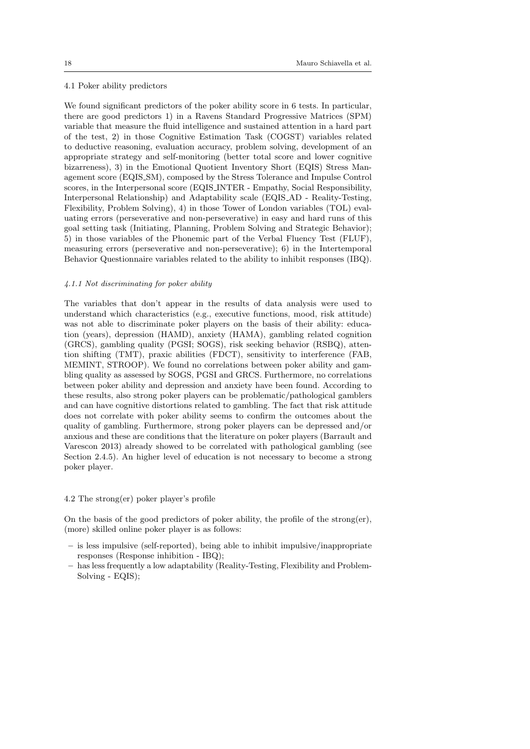# 4.1 Poker ability predictors

We found significant predictors of the poker ability score in 6 tests. In particular, there are good predictors 1) in a Ravens Standard Progressive Matrices (SPM) variable that measure the fluid intelligence and sustained attention in a hard part of the test, 2) in those Cognitive Estimation Task (COGST) variables related to deductive reasoning, evaluation accuracy, problem solving, development of an appropriate strategy and self-monitoring (better total score and lower cognitive bizarreness), 3) in the Emotional Quotient Inventory Short (EQIS) Stress Management score (EQIS SM), composed by the Stress Tolerance and Impulse Control scores, in the Interpersonal score (EQIS INTER - Empathy, Social Responsibility, Interpersonal Relationship) and Adaptability scale (EQIS AD - Reality-Testing, Flexibility, Problem Solving), 4) in those Tower of London variables (TOL) evaluating errors (perseverative and non-perseverative) in easy and hard runs of this goal setting task (Initiating, Planning, Problem Solving and Strategic Behavior); 5) in those variables of the Phonemic part of the Verbal Fluency Test (FLUF), measuring errors (perseverative and non-perseverative); 6) in the Intertemporal Behavior Questionnaire variables related to the ability to inhibit responses (IBQ).

### 4.1.1 Not discriminating for poker ability

The variables that don't appear in the results of data analysis were used to understand which characteristics (e.g., executive functions, mood, risk attitude) was not able to discriminate poker players on the basis of their ability: education (years), depression (HAMD), anxiety (HAMA), gambling related cognition (GRCS), gambling quality (PGSI; SOGS), risk seeking behavior (RSBQ), attention shifting (TMT), praxic abilities (FDCT), sensitivity to interference (FAB, MEMINT, STROOP). We found no correlations between poker ability and gambling quality as assessed by SOGS, PGSI and GRCS. Furthermore, no correlations between poker ability and depression and anxiety have been found. According to these results, also strong poker players can be problematic/pathological gamblers and can have cognitive distortions related to gambling. The fact that risk attitude does not correlate with poker ability seems to confirm the outcomes about the quality of gambling. Furthermore, strong poker players can be depressed and/or anxious and these are conditions that the literature on poker players (Barrault and Varescon 2013) already showed to be correlated with pathological gambling (see Section 2.4.5). An higher level of education is not necessary to become a strong poker player.

#### 4.2 The strong(er) poker player's profile

On the basis of the good predictors of poker ability, the profile of the strong(er), (more) skilled online poker player is as follows:

- is less impulsive (self-reported), being able to inhibit impulsive/inappropriate responses (Response inhibition - IBQ);
- has less frequently a low adaptability (Reality-Testing, Flexibility and Problem-Solving - EQIS);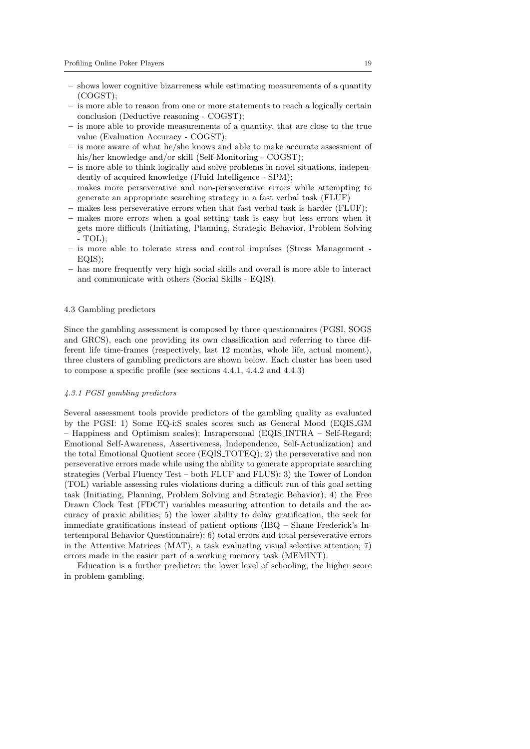- shows lower cognitive bizarreness while estimating measurements of a quantity (COGST);
- is more able to reason from one or more statements to reach a logically certain conclusion (Deductive reasoning - COGST);
- is more able to provide measurements of a quantity, that are close to the true value (Evaluation Accuracy - COGST);
- is more aware of what he/she knows and able to make accurate assessment of his/her knowledge and/or skill (Self-Monitoring - COGST);
- is more able to think logically and solve problems in novel situations, independently of acquired knowledge (Fluid Intelligence - SPM);
- makes more perseverative and non-perseverative errors while attempting to generate an appropriate searching strategy in a fast verbal task (FLUF)
- makes less perseverative errors when that fast verbal task is harder (FLUF);
- makes more errors when a goal setting task is easy but less errors when it gets more difficult (Initiating, Planning, Strategic Behavior, Problem Solving - TOL);
- is more able to tolerate stress and control impulses (Stress Management EQIS);
- has more frequently very high social skills and overall is more able to interact and communicate with others (Social Skills - EQIS).

# 4.3 Gambling predictors

Since the gambling assessment is composed by three questionnaires (PGSI, SOGS and GRCS), each one providing its own classification and referring to three different life time-frames (respectively, last 12 months, whole life, actual moment), three clusters of gambling predictors are shown below. Each cluster has been used to compose a specific profile (see sections 4.4.1, 4.4.2 and 4.4.3)

# 4.3.1 PGSI gambling predictors

Several assessment tools provide predictors of the gambling quality as evaluated by the PGSI: 1) Some EQ-i:S scales scores such as General Mood (EQIS GM – Happiness and Optimism scales); Intrapersonal (EQIS INTRA – Self-Regard; Emotional Self-Awareness, Assertiveness, Independence, Self-Actualization) and the total Emotional Quotient score (EQIS TOTEQ); 2) the perseverative and non perseverative errors made while using the ability to generate appropriate searching strategies (Verbal Fluency Test – both FLUF and FLUS); 3) the Tower of London (TOL) variable assessing rules violations during a difficult run of this goal setting task (Initiating, Planning, Problem Solving and Strategic Behavior); 4) the Free Drawn Clock Test (FDCT) variables measuring attention to details and the accuracy of praxic abilities; 5) the lower ability to delay gratification, the seek for immediate gratifications instead of patient options (IBQ – Shane Frederick's Intertemporal Behavior Questionnaire); 6) total errors and total perseverative errors in the Attentive Matrices (MAT), a task evaluating visual selective attention; 7) errors made in the easier part of a working memory task (MEMINT).

Education is a further predictor: the lower level of schooling, the higher score in problem gambling.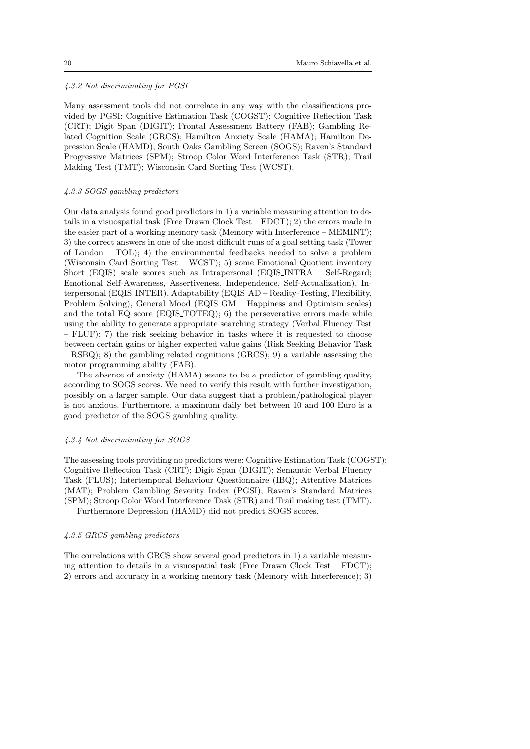### 4.3.2 Not discriminating for PGSI

Many assessment tools did not correlate in any way with the classifications provided by PGSI: Cognitive Estimation Task (COGST); Cognitive Reflection Task (CRT); Digit Span (DIGIT); Frontal Assessment Battery (FAB); Gambling Related Cognition Scale (GRCS); Hamilton Anxiety Scale (HAMA); Hamilton Depression Scale (HAMD); South Oaks Gambling Screen (SOGS); Raven's Standard Progressive Matrices (SPM); Stroop Color Word Interference Task (STR); Trail Making Test (TMT); Wisconsin Card Sorting Test (WCST).

### 4.3.3 SOGS gambling predictors

Our data analysis found good predictors in 1) a variable measuring attention to details in a visuospatial task (Free Drawn Clock Test – FDCT); 2) the errors made in the easier part of a working memory task (Memory with Interference – MEMINT); 3) the correct answers in one of the most difficult runs of a goal setting task (Tower of London – TOL); 4) the environmental feedbacks needed to solve a problem (Wisconsin Card Sorting Test – WCST); 5) some Emotional Quotient inventory Short (EQIS) scale scores such as Intrapersonal (EQIS INTRA – Self-Regard; Emotional Self-Awareness, Assertiveness, Independence, Self-Actualization), Interpersonal (EQIS INTER), Adaptability (EQIS AD – Reality-Testing, Flexibility, Problem Solving), General Mood (EQIS GM – Happiness and Optimism scales) and the total EQ score (EQIS TOTEQ); 6) the perseverative errors made while using the ability to generate appropriate searching strategy (Verbal Fluency Test – FLUF); 7) the risk seeking behavior in tasks where it is requested to choose between certain gains or higher expected value gains (Risk Seeking Behavior Task – RSBQ); 8) the gambling related cognitions (GRCS); 9) a variable assessing the motor programming ability (FAB).

The absence of anxiety (HAMA) seems to be a predictor of gambling quality, according to SOGS scores. We need to verify this result with further investigation, possibly on a larger sample. Our data suggest that a problem/pathological player is not anxious. Furthermore, a maximum daily bet between 10 and 100 Euro is a good predictor of the SOGS gambling quality.

#### 4.3.4 Not discriminating for SOGS

The assessing tools providing no predictors were: Cognitive Estimation Task (COGST); Cognitive Reflection Task (CRT); Digit Span (DIGIT); Semantic Verbal Fluency Task (FLUS); Intertemporal Behaviour Questionnaire (IBQ); Attentive Matrices (MAT); Problem Gambling Severity Index (PGSI); Raven's Standard Matrices (SPM); Stroop Color Word Interference Task (STR) and Trail making test (TMT).

Furthermore Depression (HAMD) did not predict SOGS scores.

### 4.3.5 GRCS gambling predictors

The correlations with GRCS show several good predictors in 1) a variable measuring attention to details in a visuospatial task (Free Drawn Clock Test – FDCT); 2) errors and accuracy in a working memory task (Memory with Interference); 3)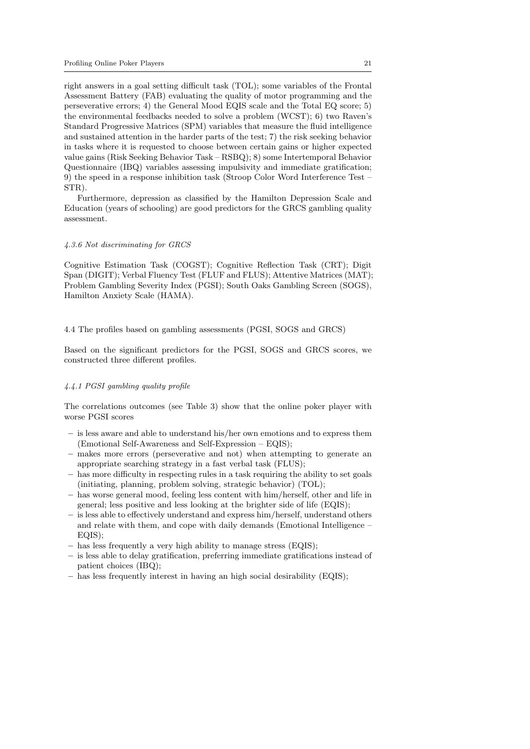right answers in a goal setting difficult task (TOL); some variables of the Frontal Assessment Battery (FAB) evaluating the quality of motor programming and the perseverative errors; 4) the General Mood EQIS scale and the Total EQ score; 5) the environmental feedbacks needed to solve a problem (WCST); 6) two Raven's Standard Progressive Matrices (SPM) variables that measure the fluid intelligence and sustained attention in the harder parts of the test; 7) the risk seeking behavior in tasks where it is requested to choose between certain gains or higher expected value gains (Risk Seeking Behavior Task – RSBQ); 8) some Intertemporal Behavior Questionnaire (IBQ) variables assessing impulsivity and immediate gratification; 9) the speed in a response inhibition task (Stroop Color Word Interference Test – STR).

Furthermore, depression as classified by the Hamilton Depression Scale and Education (years of schooling) are good predictors for the GRCS gambling quality assessment.

### 4.3.6 Not discriminating for GRCS

Cognitive Estimation Task (COGST); Cognitive Reflection Task (CRT); Digit Span (DIGIT); Verbal Fluency Test (FLUF and FLUS); Attentive Matrices (MAT); Problem Gambling Severity Index (PGSI); South Oaks Gambling Screen (SOGS), Hamilton Anxiety Scale (HAMA).

# 4.4 The profiles based on gambling assessments (PGSI, SOGS and GRCS)

Based on the significant predictors for the PGSI, SOGS and GRCS scores, we constructed three different profiles.

# 4.4.1 PGSI gambling quality profile

The correlations outcomes (see Table 3) show that the online poker player with worse PGSI scores

- is less aware and able to understand his/her own emotions and to express them (Emotional Self-Awareness and Self-Expression – EQIS);
- makes more errors (perseverative and not) when attempting to generate an appropriate searching strategy in a fast verbal task (FLUS);
- has more difficulty in respecting rules in a task requiring the ability to set goals (initiating, planning, problem solving, strategic behavior) (TOL);
- has worse general mood, feeling less content with him/herself, other and life in general; less positive and less looking at the brighter side of life (EQIS);
- is less able to effectively understand and express him/herself, understand others and relate with them, and cope with daily demands (Emotional Intelligence – EQIS);
- has less frequently a very high ability to manage stress (EQIS);
- is less able to delay gratification, preferring immediate gratifications instead of patient choices (IBQ);
- has less frequently interest in having an high social desirability (EQIS);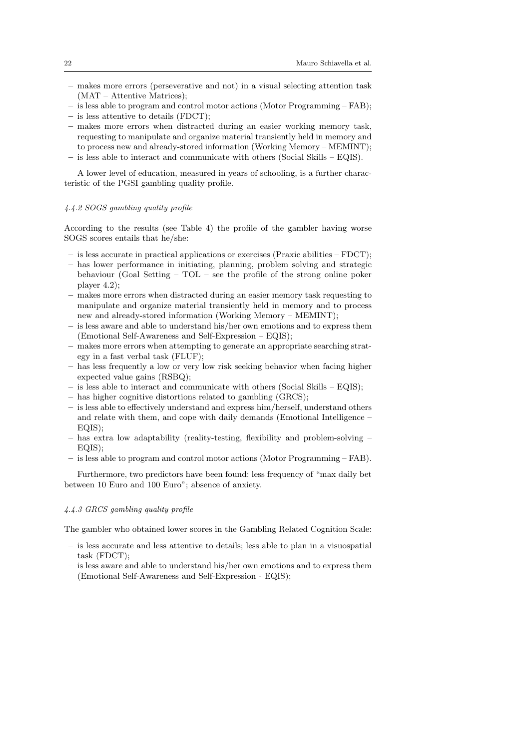- makes more errors (perseverative and not) in a visual selecting attention task (MAT – Attentive Matrices);
- is less able to program and control motor actions (Motor Programming FAB);
- is less attentive to details (FDCT);
- makes more errors when distracted during an easier working memory task, requesting to manipulate and organize material transiently held in memory and to process new and already-stored information (Working Memory – MEMINT);
- $-$  is less able to interact and communicate with others (Social Skills  $-$  EQIS).

A lower level of education, measured in years of schooling, is a further characteristic of the PGSI gambling quality profile.

# 4.4.2 SOGS gambling quality profile

According to the results (see Table 4) the profile of the gambler having worse SOGS scores entails that he/she:

- is less accurate in practical applications or exercises (Praxic abilities FDCT);
- has lower performance in initiating, planning, problem solving and strategic behaviour (Goal Setting – TOL – see the profile of the strong online poker player 4.2);
- makes more errors when distracted during an easier memory task requesting to manipulate and organize material transiently held in memory and to process new and already-stored information (Working Memory – MEMINT);
- is less aware and able to understand his/her own emotions and to express them (Emotional Self-Awareness and Self-Expression – EQIS);
- makes more errors when attempting to generate an appropriate searching strategy in a fast verbal task (FLUF);
- has less frequently a low or very low risk seeking behavior when facing higher expected value gains (RSBQ);
- $-$  is less able to interact and communicate with others (Social Skills EQIS);
- has higher cognitive distortions related to gambling (GRCS);
- is less able to effectively understand and express him/herself, understand others and relate with them, and cope with daily demands (Emotional Intelligence – EQIS);
- has extra low adaptability (reality-testing, flexibility and problem-solving EQIS);
- is less able to program and control motor actions (Motor Programming  $-$  FAB).

Furthermore, two predictors have been found: less frequency of "max daily bet between 10 Euro and 100 Euro"; absence of anxiety.

### 4.4.3 GRCS gambling quality profile

The gambler who obtained lower scores in the Gambling Related Cognition Scale:

- is less accurate and less attentive to details; less able to plan in a visuospatial task (FDCT);
- is less aware and able to understand his/her own emotions and to express them (Emotional Self-Awareness and Self-Expression - EQIS);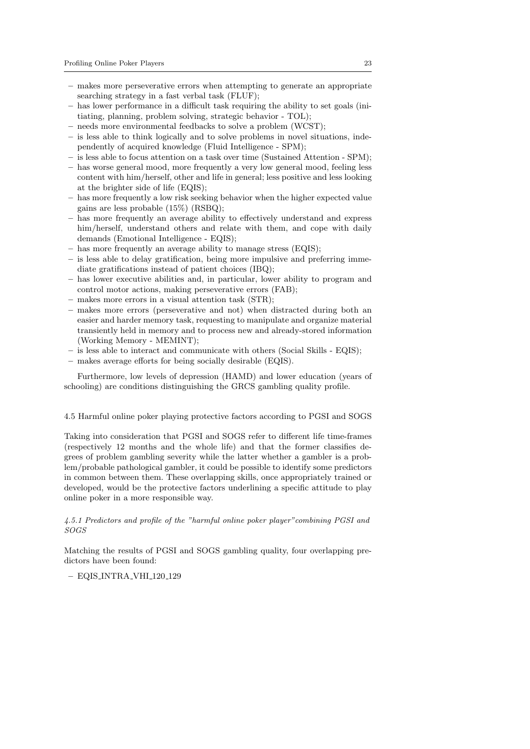- makes more perseverative errors when attempting to generate an appropriate searching strategy in a fast verbal task (FLUF);
- has lower performance in a difficult task requiring the ability to set goals (initiating, planning, problem solving, strategic behavior - TOL);
- needs more environmental feedbacks to solve a problem (WCST);
- is less able to think logically and to solve problems in novel situations, independently of acquired knowledge (Fluid Intelligence - SPM);
- is less able to focus attention on a task over time (Sustained Attention SPM);
- has worse general mood, more frequently a very low general mood, feeling less content with him/herself, other and life in general; less positive and less looking at the brighter side of life (EQIS);
- has more frequently a low risk seeking behavior when the higher expected value gains are less probable (15%) (RSBQ);
- has more frequently an average ability to effectively understand and express him/herself, understand others and relate with them, and cope with daily demands (Emotional Intelligence - EQIS);
- has more frequently an average ability to manage stress (EQIS);
- is less able to delay gratification, being more impulsive and preferring immediate gratifications instead of patient choices (IBQ);
- has lower executive abilities and, in particular, lower ability to program and control motor actions, making perseverative errors (FAB);
- makes more errors in a visual attention task (STR);
- makes more errors (perseverative and not) when distracted during both an easier and harder memory task, requesting to manipulate and organize material transiently held in memory and to process new and already-stored information (Working Memory - MEMINT);
- is less able to interact and communicate with others (Social Skills EQIS);
- makes average efforts for being socially desirable (EQIS).

Furthermore, low levels of depression (HAMD) and lower education (years of schooling) are conditions distinguishing the GRCS gambling quality profile.

# 4.5 Harmful online poker playing protective factors according to PGSI and SOGS

Taking into consideration that PGSI and SOGS refer to different life time-frames (respectively 12 months and the whole life) and that the former classifies degrees of problem gambling severity while the latter whether a gambler is a problem/probable pathological gambler, it could be possible to identify some predictors in common between them. These overlapping skills, once appropriately trained or developed, would be the protective factors underlining a specific attitude to play online poker in a more responsible way.

# 4.5.1 Predictors and profile of the "harmful online poker player"combining PGSI and SOGS

Matching the results of PGSI and SOGS gambling quality, four overlapping predictors have been found:

– EQIS INTRA VHI 120 129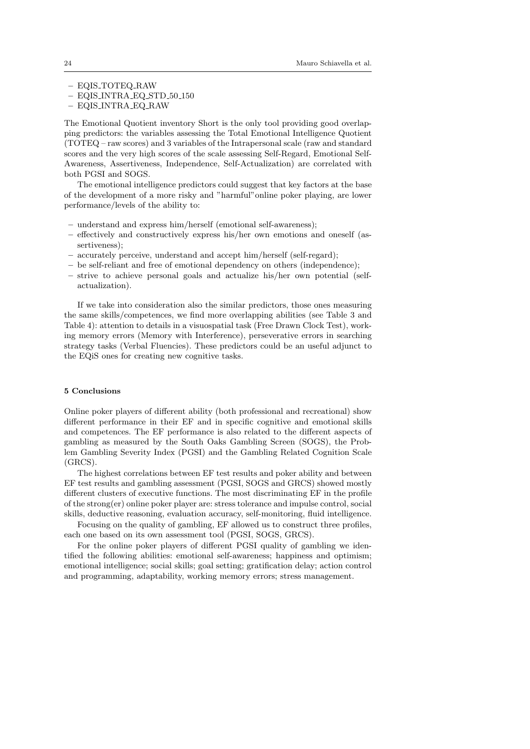– EQIS TOTEQ RAW

- EQIS INTRA EQ STD 50 150
- EQIS INTRA EQ RAW

The Emotional Quotient inventory Short is the only tool providing good overlapping predictors: the variables assessing the Total Emotional Intelligence Quotient (TOTEQ – raw scores) and 3 variables of the Intrapersonal scale (raw and standard scores and the very high scores of the scale assessing Self-Regard, Emotional Self-Awareness, Assertiveness, Independence, Self-Actualization) are correlated with both PGSI and SOGS.

The emotional intelligence predictors could suggest that key factors at the base of the development of a more risky and "harmful"online poker playing, are lower performance/levels of the ability to:

- understand and express him/herself (emotional self-awareness);
- effectively and constructively express his/her own emotions and oneself (assertiveness);
- accurately perceive, understand and accept him/herself (self-regard);
- be self-reliant and free of emotional dependency on others (independence);
- strive to achieve personal goals and actualize his/her own potential (selfactualization).

If we take into consideration also the similar predictors, those ones measuring the same skills/competences, we find more overlapping abilities (see Table 3 and Table 4): attention to details in a visuospatial task (Free Drawn Clock Test), working memory errors (Memory with Interference), perseverative errors in searching strategy tasks (Verbal Fluencies). These predictors could be an useful adjunct to the EQiS ones for creating new cognitive tasks.

### 5 Conclusions

Online poker players of different ability (both professional and recreational) show different performance in their EF and in specific cognitive and emotional skills and competences. The EF performance is also related to the different aspects of gambling as measured by the South Oaks Gambling Screen (SOGS), the Problem Gambling Severity Index (PGSI) and the Gambling Related Cognition Scale (GRCS).

The highest correlations between EF test results and poker ability and between EF test results and gambling assessment (PGSI, SOGS and GRCS) showed mostly different clusters of executive functions. The most discriminating EF in the profile of the strong(er) online poker player are: stress tolerance and impulse control, social skills, deductive reasoning, evaluation accuracy, self-monitoring, fluid intelligence.

Focusing on the quality of gambling, EF allowed us to construct three profiles, each one based on its own assessment tool (PGSI, SOGS, GRCS).

For the online poker players of different PGSI quality of gambling we identified the following abilities: emotional self-awareness; happiness and optimism; emotional intelligence; social skills; goal setting; gratification delay; action control and programming, adaptability, working memory errors; stress management.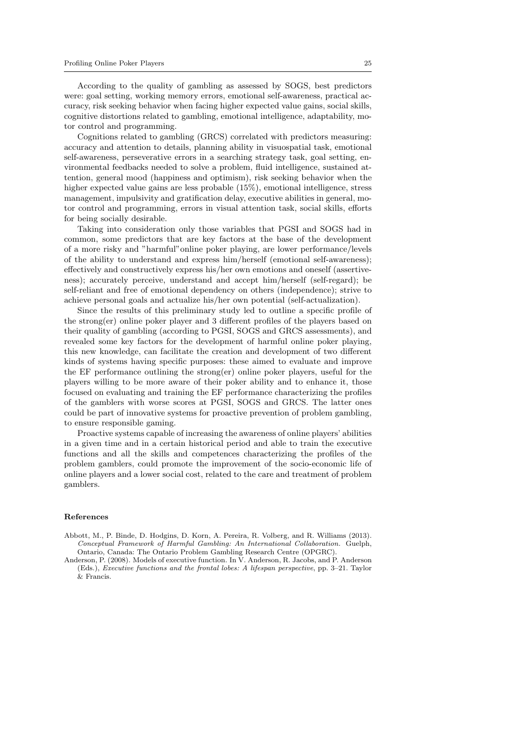According to the quality of gambling as assessed by SOGS, best predictors were: goal setting, working memory errors, emotional self-awareness, practical accuracy, risk seeking behavior when facing higher expected value gains, social skills, cognitive distortions related to gambling, emotional intelligence, adaptability, motor control and programming.

Cognitions related to gambling (GRCS) correlated with predictors measuring: accuracy and attention to details, planning ability in visuospatial task, emotional self-awareness, perseverative errors in a searching strategy task, goal setting, environmental feedbacks needed to solve a problem, fluid intelligence, sustained attention, general mood (happiness and optimism), risk seeking behavior when the higher expected value gains are less probable (15%), emotional intelligence, stress management, impulsivity and gratification delay, executive abilities in general, motor control and programming, errors in visual attention task, social skills, efforts for being socially desirable.

Taking into consideration only those variables that PGSI and SOGS had in common, some predictors that are key factors at the base of the development of a more risky and "harmful"online poker playing, are lower performance/levels of the ability to understand and express him/herself (emotional self-awareness); effectively and constructively express his/her own emotions and oneself (assertiveness); accurately perceive, understand and accept him/herself (self-regard); be self-reliant and free of emotional dependency on others (independence); strive to achieve personal goals and actualize his/her own potential (self-actualization).

Since the results of this preliminary study led to outline a specific profile of the strong(er) online poker player and 3 different profiles of the players based on their quality of gambling (according to PGSI, SOGS and GRCS assessments), and revealed some key factors for the development of harmful online poker playing, this new knowledge, can facilitate the creation and development of two different kinds of systems having specific purposes: these aimed to evaluate and improve the EF performance outlining the strong(er) online poker players, useful for the players willing to be more aware of their poker ability and to enhance it, those focused on evaluating and training the EF performance characterizing the profiles of the gamblers with worse scores at PGSI, SOGS and GRCS. The latter ones could be part of innovative systems for proactive prevention of problem gambling, to ensure responsible gaming.

Proactive systems capable of increasing the awareness of online players' abilities in a given time and in a certain historical period and able to train the executive functions and all the skills and competences characterizing the profiles of the problem gamblers, could promote the improvement of the socio-economic life of online players and a lower social cost, related to the care and treatment of problem gamblers.

### References

- Abbott, M., P. Binde, D. Hodgins, D. Korn, A. Pereira, R. Volberg, and R. Williams (2013). Conceptual Framework of Harmful Gambling: An International Collaboration. Guelph, Ontario, Canada: The Ontario Problem Gambling Research Centre (OPGRC).
- Anderson, P. (2008). Models of executive function. In V. Anderson, R. Jacobs, and P. Anderson (Eds.), Executive functions and the frontal lobes: A lifespan perspective, pp. 3–21. Taylor & Francis.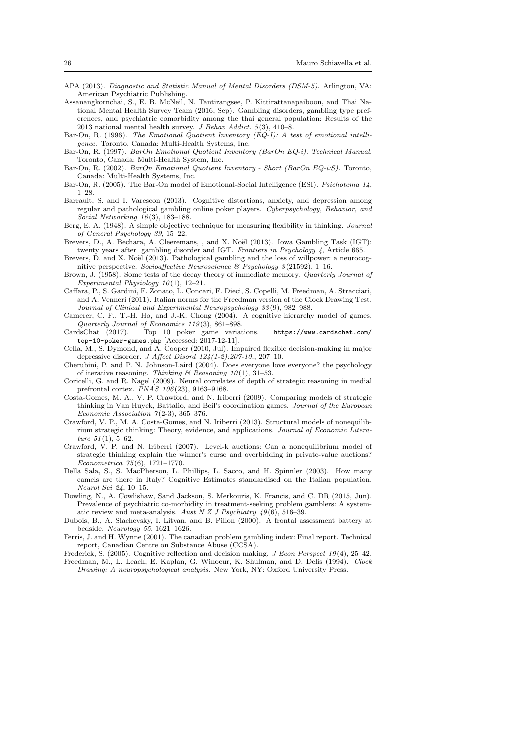- APA (2013). Diagnostic and Statistic Manual of Mental Disorders (DSM-5). Arlington, VA: American Psychiatric Publishing.
- Assanangkornchai, S., E. B. McNeil, N. Tantirangsee, P. Kittirattanapaiboon, and Thai National Mental Health Survey Team (2016, Sep). Gambling disorders, gambling type preferences, and psychiatric comorbidity among the thai general population: Results of the 2013 national mental health survey. J Behav Addict.  $5(3)$ , 410-8.
- Bar-On, R. (1996). The Emotional Quotient Inventory (EQ-I): A test of emotional intelligence. Toronto, Canada: Multi-Health Systems, Inc.
- Bar-On, R. (1997). BarOn Emotional Quotient Inventory (BarOn EQ-i). Technical Manual. Toronto, Canada: Multi-Health System, Inc.
- Bar-On, R. (2002). BarOn Emotional Quotient Inventory Short (BarOn EQ-i:S). Toronto, Canada: Multi-Health Systems, Inc.
- Bar-On, R. (2005). The Bar-On model of Emotional-Social Intelligence (ESI). Psichotema 14,  $1-28$
- Barrault, S. and I. Varescon (2013). Cognitive distortions, anxiety, and depression among regular and pathological gambling online poker players. Cyberpsychology, Behavior, and Social Networking  $16(3)$ , 183-188.
- Berg, E. A. (1948). A simple objective technique for measuring flexibility in thinking. Journal of General Psychology 39, 15–22.
- Brevers, D., A. Bechara, A. Cleeremans, , and X. Noël (2013). Iowa Gambling Task (IGT): twenty years after gambling disorder and IGT. Frontiers in Psychology 4, Article 665.
- Brevers, D. and X. Noël (2013). Pathological gambling and the loss of willpower: a neurocognitive perspective. Socioaffective Neuroscience & Psychology 3 (21592), 1–16.
- Brown, J. (1958). Some tests of the decay theory of immediate memory. Quarterly Journal of Experimental Physiology  $10(1)$ , 12-21.
- Caffara, P., S. Gardini, F. Zonato, L. Concari, F. Dieci, S. Copelli, M. Freedman, A. Stracciari, and A. Venneri (2011). Italian norms for the Freedman version of the Clock Drawing Test. Journal of Clinical and Experimental Neuropsychology 33 (9), 982–988.
- Camerer, C. F., T.-H. Ho, and J.-K. Chong (2004). A cognitive hierarchy model of games. Quarterly Journal of Economics 119 (3), 861–898.
- CardsChat (2017). Top 10 poker game variations. https://www.cardschat.com/ top-10-poker-games.php [Accessed: 2017-12-11].
- Cella, M., S. Dymond, and A. Cooper (2010, Jul). Impaired flexible decision-making in major depressive disorder. J Affect Disord 124(1-2):207-10., 207–10.
- Cherubini, P. and P. N. Johnson-Laird (2004). Does everyone love everyone? the psychology of iterative reasoning. Thinking & Reasoning 10(1), 31-53.
- Coricelli, G. and R. Nagel (2009). Neural correlates of depth of strategic reasoning in medial prefrontal cortex. PNAS 106 (23), 9163–9168.
- Costa-Gomes, M. A., V. P. Crawford, and N. Iriberri (2009). Comparing models of strategic thinking in Van Huyck, Battalio, and Beil's coordination games. Journal of the European Economic Association  $7(2-3)$ , 365-376.
- Crawford, V. P., M. A. Costa-Gomes, and N. Iriberri (2013). Structural models of nonequilibrium strategic thinking: Theory, evidence, and applications. Journal of Economic Literature  $51(1), 5-62$ .
- Crawford, V. P. and N. Iriberri (2007). Level-k auctions: Can a nonequilibrium model of strategic thinking explain the winner's curse and overbidding in private-value auctions? Econometrica 75 (6), 1721–1770.
- Della Sala, S., S. MacPherson, L. Phillips, L. Sacco, and H. Spinnler (2003). How many camels are there in Italy? Cognitive Estimates standardised on the Italian population. Neurol Sci 24, 10–15.
- Dowling, N., A. Cowlishaw, Sand Jackson, S. Merkouris, K. Francis, and C. DR (2015, Jun). Prevalence of psychiatric co-morbidity in treatment-seeking problem gamblers: A systematic review and meta-analysis. Aust N Z J Psychiatry  $\overline{49(6)}$ , 516–39.
- Dubois, B., A. Slachevsky, I. Litvan, and B. Pillon (2000). A frontal assessment battery at bedside. Neurology 55, 1621–1626.
- Ferris, J. and H. Wynne (2001). The canadian problem gambling index: Final report. Technical report, Canadian Centre on Substance Abuse (CCSA).
- Frederick, S. (2005). Cognitive reflection and decision making. J Econ Perspect 19(4), 25–42. Freedman, M., L. Leach, E. Kaplan, G. Winocur, K. Shulman, and D. Delis (1994). Clock Drawing: A neuropsychological analysis. New York, NY: Oxford University Press.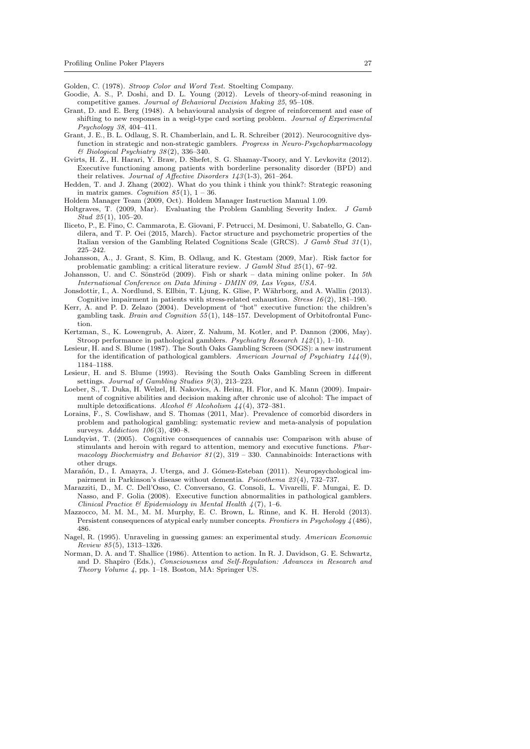Golden, C. (1978). Stroop Color and Word Test. Stoelting Company.

- Goodie, A. S., P. Doshi, and D. L. Young (2012). Levels of theory-of-mind reasoning in competitive games. Journal of Behavioral Decision Making 25, 95–108.
- Grant, D. and E. Berg (1948). A behavioural analysis of degree of reinforcement and ease of shifting to new responses in a weigl-type card sorting problem. Journal of Experimental Psychology 38, 404–411.
- Grant, J. E., B. L. Odlaug, S. R. Chamberlain, and L. R. Schreiber (2012). Neurocognitive dysfunction in strategic and non-strategic gamblers. Progress in Neuro-Psychopharmacology  $\&$  Biological Psychiatry 38(2), 336-340.
- Gvirts, H. Z., H. Harari, Y. Braw, D. Shefet, S. G. Shamay-Tsoory, and Y. Levkovitz (2012). Executive functioning among patients with borderline personality disorder (BPD) and their relatives. Journal of Affective Disorders 143 (1-3), 261–264.
- Hedden, T. and J. Zhang (2002). What do you think i think you think?: Strategic reasoning in matrix games. Cognition  $85(1)$ ,  $1 - 36$ .
- Holdem Manager Team (2009, Oct). Holdem Manager Instruction Manual 1.09.
- Holtgraves, T. (2009, Mar). Evaluating the Problem Gambling Severity Index. J Gamb  $\tilde{S}tud \; 25(1), 105-20.$
- Iliceto, P., E. Fino, C. Cammarota, E. Giovani, F. Petrucci, M. Desimoni, U. Sabatello, G. Candilera, and T. P. Oei (2015, March). Factor structure and psychometric properties of the Italian version of the Gambling Related Cognitions Scale (GRCS). J Gamb Stud 31(1), 225–242.
- Johansson, A., J. Grant, S. Kim, B. Odlaug, and K. Gtestam (2009, Mar). Risk factor for problematic gambling: a critical literature review. J Gambl Stud 25(1), 67-92.
- Johansson, U. and C. Sönströd (2009). Fish or shark data mining online poker. In  $5th$ International Conference on Data Mining - DMIN 09, Las Vegas, USA.
- Jonsdottir, I., A. Nordlund, S. Ellbin, T. Ljung, K. Glise, P. Währborg, and A. Wallin (2013). Cognitive impairment in patients with stress-related exhaustion. Stress  $16(2)$ , 181–190.
- Kerr, A. and P. D. Zelazo (2004). Development of "hot" executive function: the children's gambling task. Brain and Cognition 55 (1), 148–157. Development of Orbitofrontal Function.
- Kertzman, S., K. Lowengrub, A. Aizer, Z. Nahum, M. Kotler, and P. Dannon (2006, May). Stroop performance in pathological gamblers. Psychiatry Research  $142(1)$ , 1–10.
- Lesieur, H. and S. Blume (1987). The South Oaks Gambling Screen (SOGS): a new instrument for the identification of pathological gamblers. American Journal of Psychiatry  $144(9)$ , 1184–1188.
- Lesieur, H. and S. Blume (1993). Revising the South Oaks Gambling Screen in different settings. Journal of Gambling Studies  $9(3)$ , 213-223.
- Loeber, S., T. Duka, H. Welzel, H. Nakovics, A. Heinz, H. Flor, and K. Mann (2009). Impairment of cognitive abilities and decision making after chronic use of alcohol: The impact of multiple detoxifications. Alcohol & Alcoholism  $44(4)$ , 372–381.
- Lorains, F., S. Cowlishaw, and S. Thomas (2011, Mar). Prevalence of comorbid disorders in problem and pathological gambling: systematic review and meta-analysis of population surveys. Addiction 106(3), 490-8.
- Lundqvist, T. (2005). Cognitive consequences of cannabis use: Comparison with abuse of stimulants and heroin with regard to attention, memory and executive functions. Pharmacology Biochemistry and Behavior  $81(2)$ ,  $319 - 330$ . Cannabinoids: Interactions with other drugs.
- Marañón, D., I. Amayra, J. Uterga, and J. Gómez-Esteban (2011). Neuropsychological impairment in Parkinson's disease without dementia. Psicothema 23 (4), 732–737.
- Marazziti, D., M. C. Dell'Osso, C. Conversano, G. Consoli, L. Vivarelli, F. Mungai, E. D. Nasso, and F. Golia (2008). Executive function abnormalities in pathological gamblers. Clinical Practice & Epidemiology in Mental Health  $\lambda$  (7), 1–6.
- Mazzocco, M. M., M., M., M., Murphy, E. C. Brown, L. Rinne, and K. H. Herold (2013). Persistent consequences of atypical early number concepts. Frontiers in Psychology  $\frac{4}{486}$ , 486.
- Nagel, R. (1995). Unraveling in guessing games: an experimental study. American Economic Review 85 (5), 1313–1326.
- Norman, D. A. and T. Shallice (1986). Attention to action. In R. J. Davidson, G. E. Schwartz, and D. Shapiro (Eds.), Consciousness and Self-Regulation: Advances in Research and Theory Volume 4, pp. 1–18. Boston, MA: Springer US.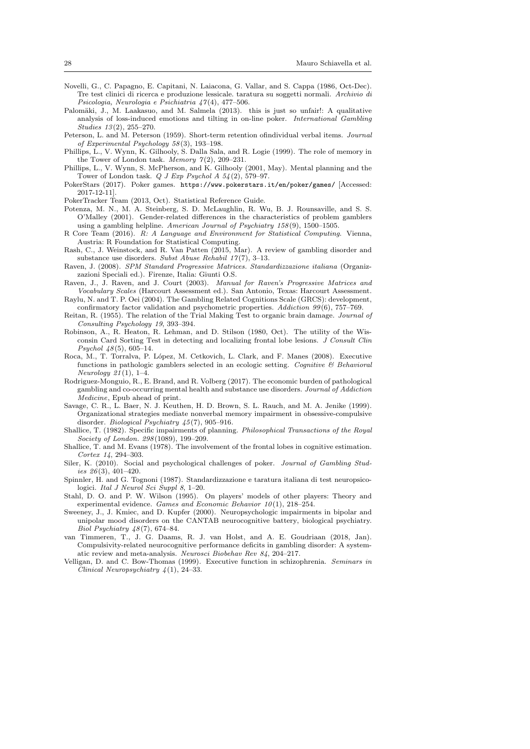- Novelli, G., C. Papagno, E. Capitani, N. Laiacona, G. Vallar, and S. Cappa (1986, Oct-Dec). Tre test clinici di ricerca e produzione lessicale. taratura su soggetti normali. Archivio di Psicologia, Neurologia e Psichiatria 47 (4), 477–506.
- Palomäki, J., M. Laakasuo, and M. Salmela (2013). this is just so unfair!: A qualitative analysis of loss-induced emotions and tilting in on-line poker. International Gambling Studies 13(2), 255-270.
- Peterson, L. and M. Peterson (1959). Short-term retention ofindividual verbal items. Journal of Experimental Psychology 58 (3), 193–198.
- Phillips, L., V. Wynn, K. Gilhooly, S. Dalla Sala, and R. Logie (1999). The role of memory in the Tower of London task. Memory 7(2), 209–231.
- Phillips, L., V. Wynn, S. McPherson, and K. Gilhooly (2001, May). Mental planning and the Tower of London task.  $Q J Exp P sychol A 54(2), 579-97.$
- PokerStars (2017). Poker games. https://www.pokerstars.it/en/poker/games/ [Accessed: 2017-12-11].

PokerTracker Team (2013, Oct). Statistical Reference Guide.

- Potenza, M. N., M. A. Steinberg, S. D. McLaughlin, R. Wu, B. J. Rounsaville, and S. S. O'Malley (2001). Gender-related differences in the characteristics of problem gamblers using a gambling helpline. American Journal of Psychiatry 158(9), 1500-1505.
- R Core Team (2016). R: A Language and Environment for Statistical Computing. Vienna, Austria: R Foundation for Statistical Computing.
- Rash, C., J. Weinstock, and R. Van Patten (2015, Mar). A review of gambling disorder and substance use disorders. Subst Abuse Rehabil  $17(7)$ , 3-13.
- Raven, J. (2008). SPM Standard Progressive Matrices. Standardizzazione italiana (Organizzazioni Speciali ed.). Firenze, Italia: Giunti O.S.
- Raven, J., J. Raven, and J. Court (2003). Manual for Raven's Progressive Matrices and Vocabulary Scales (Harcourt Assessment ed.). San Antonio, Texas: Harcourt Assessment. Raylu, N. and T. P. Oei (2004). The Gambling Related Cognitions Scale (GRCS): development,
- confirmatory factor validation and psychometric properties. Addiction 99(6), 757–769.
- Reitan, R. (1955). The relation of the Trial Making Test to organic brain damage. Journal of Consulting Psychology 19, 393-394.
- Robinson, A., R. Heaton, R. Lehman, and D. Stilson (1980, Oct). The utility of the Wisconsin Card Sorting Test in detecting and localizing frontal lobe lesions. J Consult Clin Psychol  $48(5)$ , 605-14.
- Roca, M., T. Torralva, P. López, M. Cetkovich, L. Clark, and F. Manes (2008). Executive functions in pathologic gamblers selected in an ecologic setting. Cognitive  $\mathcal C$  Behavioral Neurology 21 (1), 1–4.
- Rodriguez-Monguio, R., E. Brand, and R. Volberg (2017). The economic burden of pathological gambling and co-occurring mental health and substance use disorders. Journal of Addiction Medicine, Epub ahead of print.
- Savage, C. R., L. Baer, N. J. Keuthen, H. D. Brown, S. L. Rauch, and M. A. Jenike (1999). Organizational strategies mediate nonverbal memory impairment in obsessive-compulsive disorder. Biological Psychiatry  $45(7)$ , 905-916.
- Shallice, T. (1982). Specific impairments of planning. Philosophical Transactions of the Royal Society of London. 298 (1089), 199–209.
- Shallice, T. and M. Evans (1978). The involvement of the frontal lobes in cognitive estimation. Cortex 14, 294–303.
- Siler, K. (2010). Social and psychological challenges of poker. Journal of Gambling Studies  $26(3)$ , 401–420.
- Spinnler, H. and G. Tognoni (1987). Standardizzazione e taratura italiana di test neuropsicologici. Ital J Neurol Sci Suppl 8, 1–20.
- Stahl, D. O. and P. W. Wilson (1995). On players' models of other players: Theory and experimental evidence. Games and Economic Behavior  $10(1)$ , 218–254.
- Sweeney, J., J. Kmiec, and D. Kupfer (2000). Neuropsychologic impairments in bipolar and unipolar mood disorders on the CANTAB neurocognitive battery, biological psychiatry. Biol Psychiatry 48 (7), 674–84.
- van Timmeren, T., J. G. Daams, R. J. van Holst, and A. E. Goudriaan (2018, Jan). Compulsivity-related neurocognitive performance deficits in gambling disorder: A systematic review and meta-analysis. Neurosci Biobehav Rev 84, 204–217.
- Velligan, D. and C. Bow-Thomas (1999). Executive function in schizophrenia. Seminars in Clinical Neuropsychiatry 4 (1), 24–33.